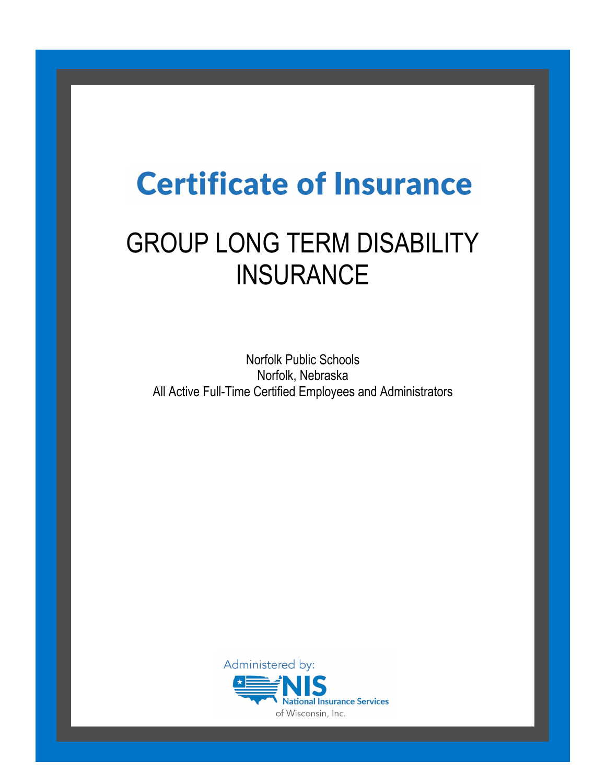# **Certificate of Insurance**

## GROUP LONG TERM DISABILITY **INSURANCE**

Norfolk Public Schools Norfolk, Nebraska All Active Full-Time Certified Employees and Administrators

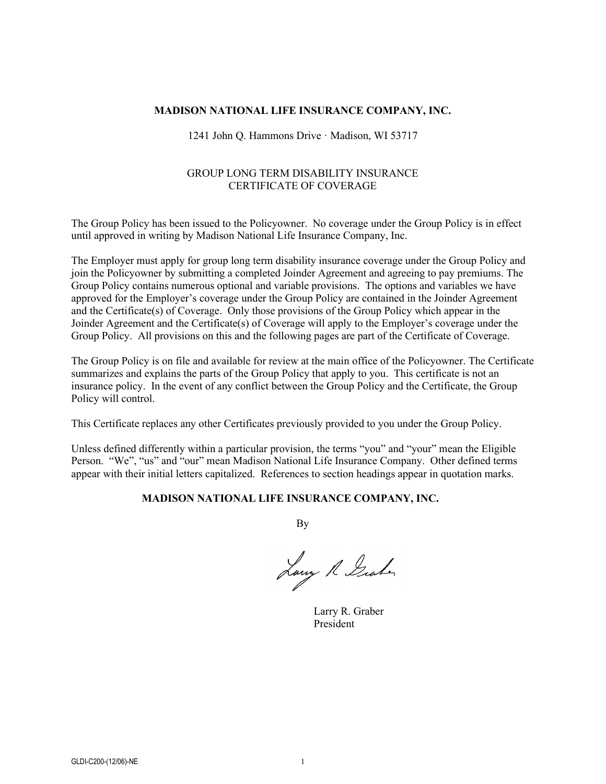#### **MADISON NATIONAL LIFE INSURANCE COMPANY, INC.**

#### 1241 John Q. Hammons Drive · Madison, WI 53717

#### GROUP LONG TERM DISABILITY INSURANCE CERTIFICATE OF COVERAGE

The Group Policy has been issued to the Policyowner. No coverage under the Group Policy is in effect until approved in writing by Madison National Life Insurance Company, Inc.

The Employer must apply for group long term disability insurance coverage under the Group Policy and join the Policyowner by submitting a completed Joinder Agreement and agreeing to pay premiums. The Group Policy contains numerous optional and variable provisions. The options and variables we have approved for the Employer's coverage under the Group Policy are contained in the Joinder Agreement and the Certificate(s) of Coverage. Only those provisions of the Group Policy which appear in the Joinder Agreement and the Certificate(s) of Coverage will apply to the Employer's coverage under the Group Policy. All provisions on this and the following pages are part of the Certificate of Coverage.

The Group Policy is on file and available for review at the main office of the Policyowner. The Certificate summarizes and explains the parts of the Group Policy that apply to you. This certificate is not an insurance policy. In the event of any conflict between the Group Policy and the Certificate, the Group Policy will control.

This Certificate replaces any other Certificates previously provided to you under the Group Policy.

Unless defined differently within a particular provision, the terms "you" and "your" mean the Eligible Person. "We", "us" and "our" mean Madison National Life Insurance Company. Other defined terms appear with their initial letters capitalized. References to section headings appear in quotation marks.

#### **MADISON NATIONAL LIFE INSURANCE COMPANY, INC.**

By

Lawy R Graham

Larry R. Graber President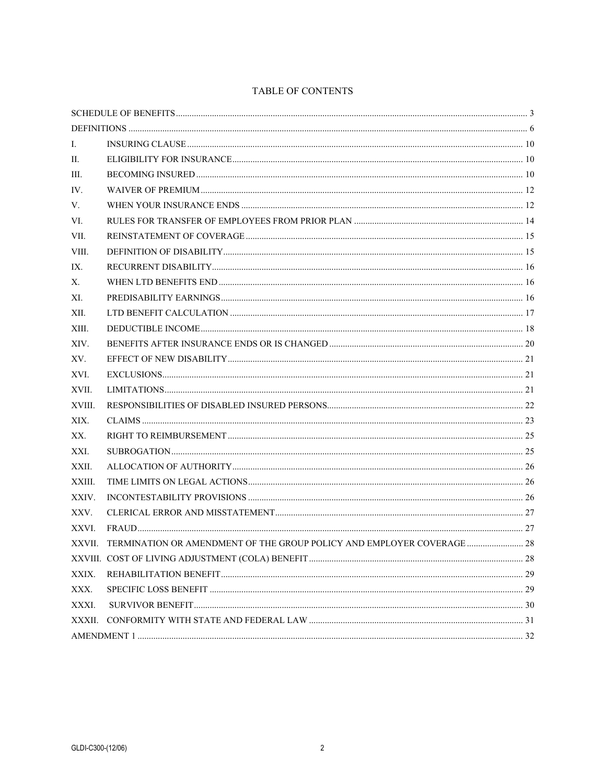#### TABLE OF CONTENTS

| Ι.     |                                                                        |  |  |
|--------|------------------------------------------------------------------------|--|--|
| П.     |                                                                        |  |  |
| Ш.     |                                                                        |  |  |
| IV.    |                                                                        |  |  |
| V.     |                                                                        |  |  |
| VI.    |                                                                        |  |  |
| VII.   |                                                                        |  |  |
| VIII.  |                                                                        |  |  |
| IX.    |                                                                        |  |  |
| Х.     |                                                                        |  |  |
| XI.    |                                                                        |  |  |
| XII.   |                                                                        |  |  |
| XIII.  |                                                                        |  |  |
| XIV.   |                                                                        |  |  |
| XV.    |                                                                        |  |  |
| XVI.   |                                                                        |  |  |
| XVII.  |                                                                        |  |  |
| XVIII. |                                                                        |  |  |
| XIX.   |                                                                        |  |  |
| XX.    |                                                                        |  |  |
| XXI.   |                                                                        |  |  |
| XXII.  |                                                                        |  |  |
| XXIII. |                                                                        |  |  |
| XXIV.  |                                                                        |  |  |
| XXV.   |                                                                        |  |  |
| XXVI.  |                                                                        |  |  |
| XXVII. | TERMINATION OR AMENDMENT OF THE GROUP POLICY AND EMPLOYER COVERAGE  28 |  |  |
|        |                                                                        |  |  |
| XXIX.  |                                                                        |  |  |
| XXX.   |                                                                        |  |  |
| XXXI.  |                                                                        |  |  |
| XXXII. |                                                                        |  |  |
|        |                                                                        |  |  |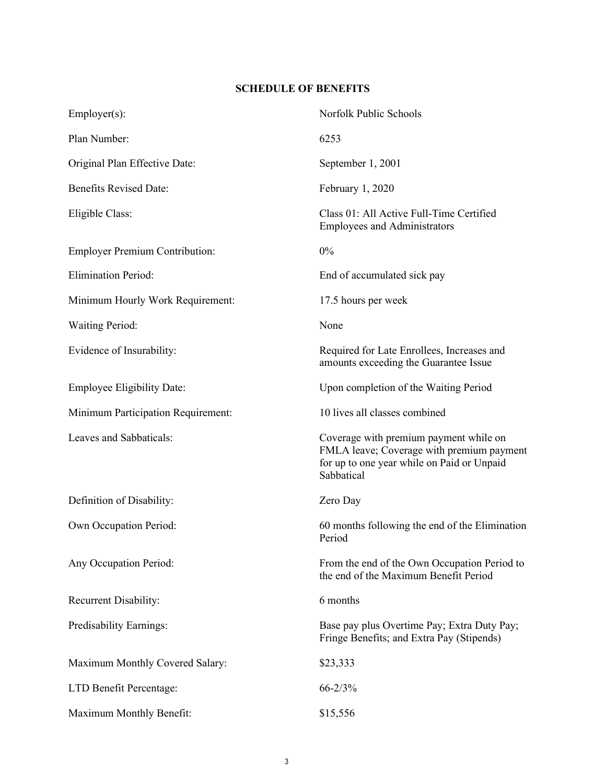## **SCHEDULE OF BENEFITS**

| $Emplayer(s)$ :                       | Norfolk Public Schools                                                                                                                          |  |
|---------------------------------------|-------------------------------------------------------------------------------------------------------------------------------------------------|--|
| Plan Number:                          | 6253                                                                                                                                            |  |
| Original Plan Effective Date:         | September 1, 2001                                                                                                                               |  |
| <b>Benefits Revised Date:</b>         | February 1, 2020                                                                                                                                |  |
| Eligible Class:                       | Class 01: All Active Full-Time Certified<br><b>Employees and Administrators</b>                                                                 |  |
| <b>Employer Premium Contribution:</b> | 0%                                                                                                                                              |  |
| <b>Elimination Period:</b>            | End of accumulated sick pay                                                                                                                     |  |
| Minimum Hourly Work Requirement:      | 17.5 hours per week                                                                                                                             |  |
| <b>Waiting Period:</b>                | None                                                                                                                                            |  |
| Evidence of Insurability:             | Required for Late Enrollees, Increases and<br>amounts exceeding the Guarantee Issue                                                             |  |
| <b>Employee Eligibility Date:</b>     | Upon completion of the Waiting Period                                                                                                           |  |
| Minimum Participation Requirement:    | 10 lives all classes combined                                                                                                                   |  |
| Leaves and Sabbaticals:               | Coverage with premium payment while on<br>FMLA leave; Coverage with premium payment<br>for up to one year while on Paid or Unpaid<br>Sabbatical |  |
| Definition of Disability:             | Zero Day                                                                                                                                        |  |
| Own Occupation Period:                | 60 months following the end of the Elimination<br>Period                                                                                        |  |
| Any Occupation Period:                | From the end of the Own Occupation Period to<br>the end of the Maximum Benefit Period                                                           |  |
| Recurrent Disability:                 | 6 months                                                                                                                                        |  |
| Predisability Earnings:               | Base pay plus Overtime Pay; Extra Duty Pay;<br>Fringe Benefits; and Extra Pay (Stipends)                                                        |  |
| Maximum Monthly Covered Salary:       | \$23,333                                                                                                                                        |  |
| LTD Benefit Percentage:               | $66 - 2/3%$                                                                                                                                     |  |
| Maximum Monthly Benefit:              | \$15,556                                                                                                                                        |  |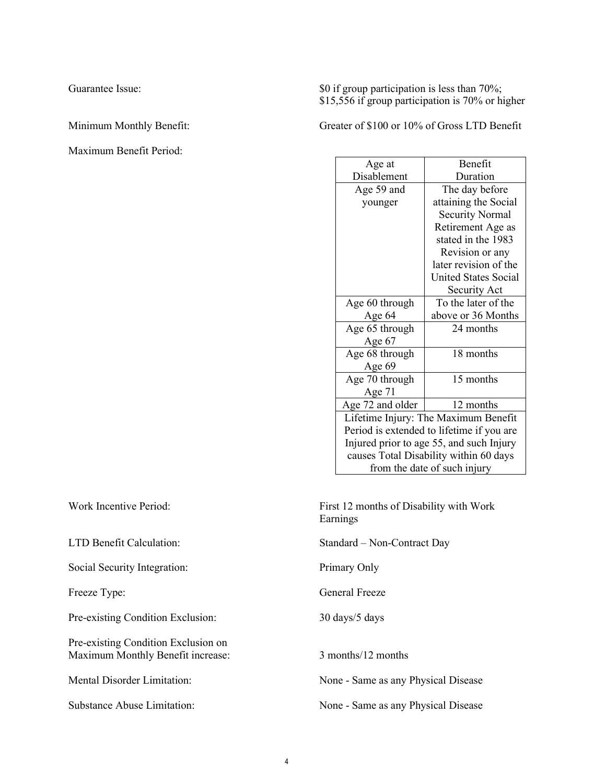Maximum Benefit Period:

Guarantee Issue:  $\text{Sup} \, \mathbb{S}^0$  if group participation is less than 70%; \$15,556 if group participation is 70% or higher

Minimum Monthly Benefit: Greater of \$100 or 10% of Gross LTD Benefit

| Age at                                    | <b>Benefit</b>              |  |  |  |
|-------------------------------------------|-----------------------------|--|--|--|
| Disablement                               | Duration                    |  |  |  |
| Age 59 and                                | The day before              |  |  |  |
| younger                                   | attaining the Social        |  |  |  |
|                                           | <b>Security Normal</b>      |  |  |  |
|                                           | Retirement Age as           |  |  |  |
|                                           | stated in the 1983          |  |  |  |
|                                           | Revision or any             |  |  |  |
|                                           | later revision of the       |  |  |  |
|                                           | <b>United States Social</b> |  |  |  |
|                                           | Security Act                |  |  |  |
| Age 60 through                            | To the later of the         |  |  |  |
| Age 64                                    | above or 36 Months          |  |  |  |
| Age 65 through                            | 24 months                   |  |  |  |
| Age 67                                    |                             |  |  |  |
| Age 68 through                            | 18 months                   |  |  |  |
| Age 69                                    |                             |  |  |  |
| Age 70 through                            | 15 months                   |  |  |  |
| Age 71                                    |                             |  |  |  |
| Age 72 and older                          | 12 months                   |  |  |  |
| Lifetime Injury: The Maximum Benefit      |                             |  |  |  |
| Period is extended to lifetime if you are |                             |  |  |  |
| Injured prior to age 55, and such Injury  |                             |  |  |  |
| causes Total Disability within 60 days    |                             |  |  |  |
| from the date of such injury              |                             |  |  |  |

Work Incentive Period: First 12 months of Disability with Work Earnings

LTD Benefit Calculation: Standard – Non-Contract Day

Freeze Type: General Freeze

Mental Disorder Limitation: None - Same as any Physical Disease

Substance Abuse Limitation: None - Same as any Physical Disease

Social Security Integration: Primary Only

Pre-existing Condition Exclusion: 30 days/5 days

Pre-existing Condition Exclusion on Maximum Monthly Benefit increase: 3 months/12 months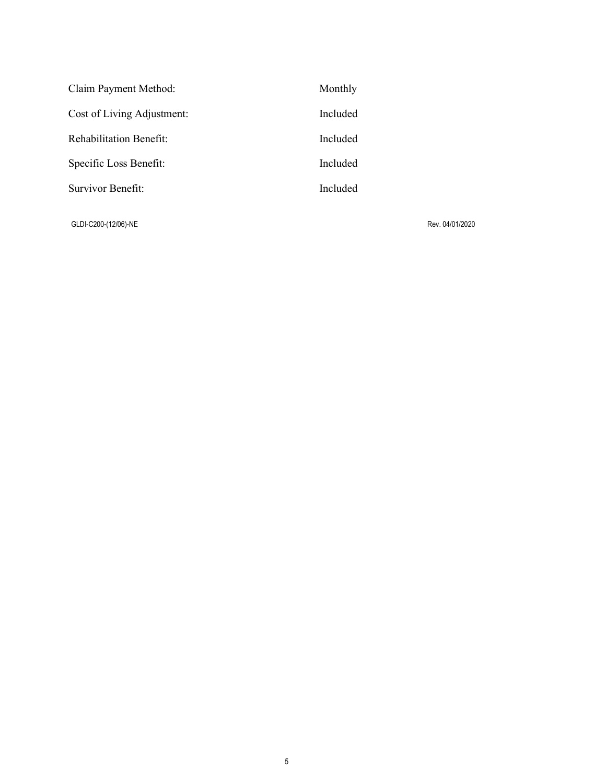| Claim Payment Method:          | Monthly  |
|--------------------------------|----------|
| Cost of Living Adjustment:     | Included |
| <b>Rehabilitation Benefit:</b> | Included |
| Specific Loss Benefit:         | Included |
| Survivor Benefit:              | Included |
|                                |          |

GLDI-C200-(12/06)-NE Rev. 04/01/2020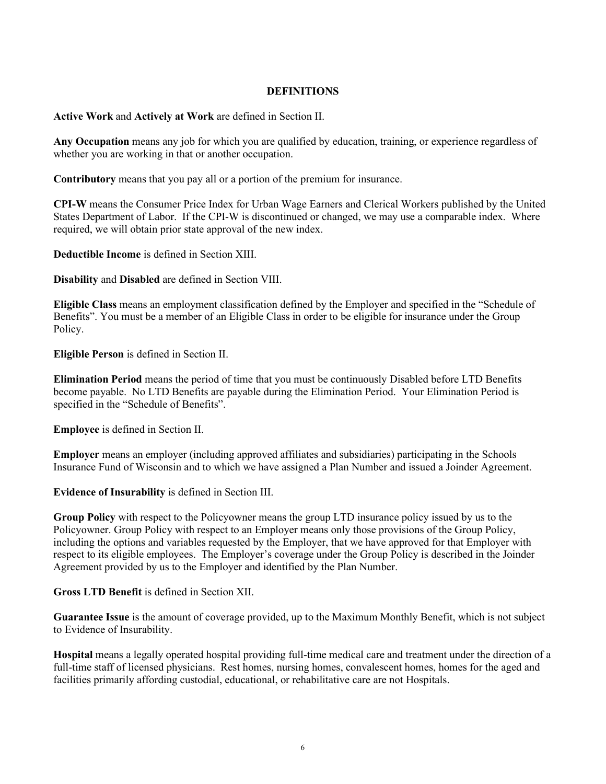#### **DEFINITIONS**

**Active Work** and **Actively at Work** are defined in Section II.

**Any Occupation** means any job for which you are qualified by education, training, or experience regardless of whether you are working in that or another occupation.

**Contributory** means that you pay all or a portion of the premium for insurance.

**CPI-W** means the Consumer Price Index for Urban Wage Earners and Clerical Workers published by the United States Department of Labor. If the CPI-W is discontinued or changed, we may use a comparable index. Where required, we will obtain prior state approval of the new index.

**Deductible Income** is defined in Section XIII.

**Disability** and **Disabled** are defined in Section VIII.

**Eligible Class** means an employment classification defined by the Employer and specified in the "Schedule of Benefits". You must be a member of an Eligible Class in order to be eligible for insurance under the Group Policy.

**Eligible Person** is defined in Section II.

**Elimination Period** means the period of time that you must be continuously Disabled before LTD Benefits become payable. No LTD Benefits are payable during the Elimination Period. Your Elimination Period is specified in the "Schedule of Benefits".

**Employee** is defined in Section II.

**Employer** means an employer (including approved affiliates and subsidiaries) participating in the Schools Insurance Fund of Wisconsin and to which we have assigned a Plan Number and issued a Joinder Agreement.

**Evidence of Insurability** is defined in Section III.

**Group Policy** with respect to the Policyowner means the group LTD insurance policy issued by us to the Policyowner. Group Policy with respect to an Employer means only those provisions of the Group Policy, including the options and variables requested by the Employer, that we have approved for that Employer with respect to its eligible employees. The Employer's coverage under the Group Policy is described in the Joinder Agreement provided by us to the Employer and identified by the Plan Number.

**Gross LTD Benefit** is defined in Section XII.

**Guarantee Issue** is the amount of coverage provided, up to the Maximum Monthly Benefit, which is not subject to Evidence of Insurability.

**Hospital** means a legally operated hospital providing full-time medical care and treatment under the direction of a full-time staff of licensed physicians. Rest homes, nursing homes, convalescent homes, homes for the aged and facilities primarily affording custodial, educational, or rehabilitative care are not Hospitals.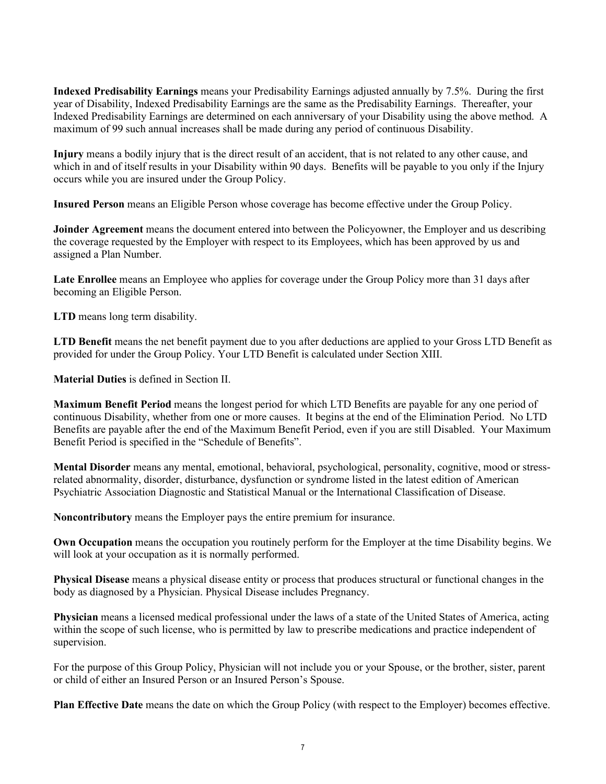**Indexed Predisability Earnings** means your Predisability Earnings adjusted annually by 7.5%. During the first year of Disability, Indexed Predisability Earnings are the same as the Predisability Earnings. Thereafter, your Indexed Predisability Earnings are determined on each anniversary of your Disability using the above method. A maximum of 99 such annual increases shall be made during any period of continuous Disability.

**Injury** means a bodily injury that is the direct result of an accident, that is not related to any other cause, and which in and of itself results in your Disability within 90 days. Benefits will be payable to you only if the Injury occurs while you are insured under the Group Policy.

**Insured Person** means an Eligible Person whose coverage has become effective under the Group Policy.

**Joinder Agreement** means the document entered into between the Policyowner, the Employer and us describing the coverage requested by the Employer with respect to its Employees, which has been approved by us and assigned a Plan Number.

**Late Enrollee** means an Employee who applies for coverage under the Group Policy more than 31 days after becoming an Eligible Person.

**LTD** means long term disability.

**LTD Benefit** means the net benefit payment due to you after deductions are applied to your Gross LTD Benefit as provided for under the Group Policy. Your LTD Benefit is calculated under Section XIII.

**Material Duties** is defined in Section II.

**Maximum Benefit Period** means the longest period for which LTD Benefits are payable for any one period of continuous Disability, whether from one or more causes. It begins at the end of the Elimination Period. No LTD Benefits are payable after the end of the Maximum Benefit Period, even if you are still Disabled. Your Maximum Benefit Period is specified in the "Schedule of Benefits".

**Mental Disorder** means any mental, emotional, behavioral, psychological, personality, cognitive, mood or stressrelated abnormality, disorder, disturbance, dysfunction or syndrome listed in the latest edition of American Psychiatric Association Diagnostic and Statistical Manual or the International Classification of Disease.

**Noncontributory** means the Employer pays the entire premium for insurance.

**Own Occupation** means the occupation you routinely perform for the Employer at the time Disability begins. We will look at your occupation as it is normally performed.

**Physical Disease** means a physical disease entity or process that produces structural or functional changes in the body as diagnosed by a Physician. Physical Disease includes Pregnancy.

**Physician** means a licensed medical professional under the laws of a state of the United States of America, acting within the scope of such license, who is permitted by law to prescribe medications and practice independent of supervision.

For the purpose of this Group Policy, Physician will not include you or your Spouse, or the brother, sister, parent or child of either an Insured Person or an Insured Person's Spouse.

**Plan Effective Date** means the date on which the Group Policy (with respect to the Employer) becomes effective.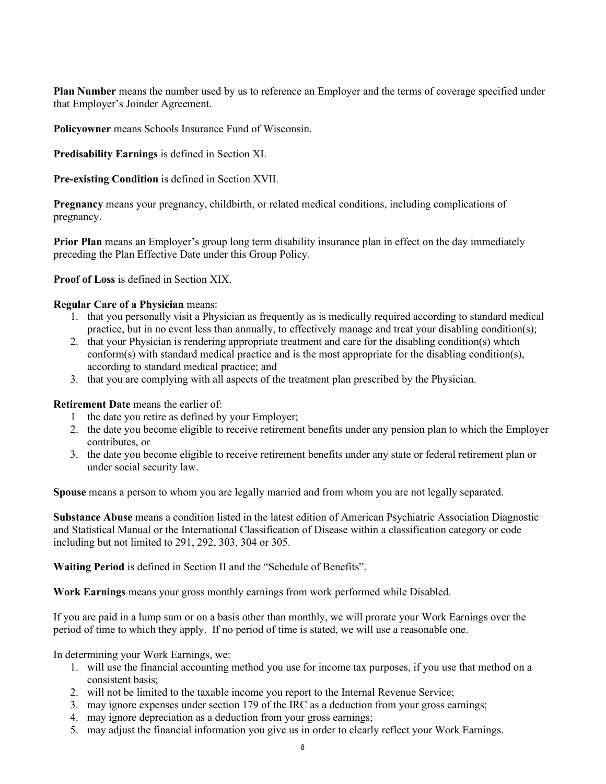**Plan Number** means the number used by us to reference an Employer and the terms of coverage specified under that Employer's Joinder Agreement.

**Policyowner** means Schools Insurance Fund of Wisconsin.

**Predisability Earnings** is defined in Section XI.

**Pre-existing Condition** is defined in Section XVII.

**Pregnancy** means your pregnancy, childbirth, or related medical conditions, including complications of pregnancy.

**Prior Plan** means an Employer's group long term disability insurance plan in effect on the day immediately preceding the Plan Effective Date under this Group Policy.

**Proof of Loss** is defined in Section XIX.

#### **Regular Care of a Physician** means:

- 1. that you personally visit a Physician as frequently as is medically required according to standard medical practice, but in no event less than annually, to effectively manage and treat your disabling condition(s);
- 2. that your Physician is rendering appropriate treatment and care for the disabling condition(s) which conform(s) with standard medical practice and is the most appropriate for the disabling condition(s), according to standard medical practice; and
- 3. that you are complying with all aspects of the treatment plan prescribed by the Physician.

#### **Retirement Date** means the earlier of:

- 1 the date you retire as defined by your Employer;
- 2. the date you become eligible to receive retirement benefits under any pension plan to which the Employer contributes, or
- 3. the date you become eligible to receive retirement benefits under any state or federal retirement plan or under social security law.

**Spouse** means a person to whom you are legally married and from whom you are not legally separated.

**Substance Abuse** means a condition listed in the latest edition of American Psychiatric Association Diagnostic and Statistical Manual or the International Classification of Disease within a classification category or code including but not limited to 291, 292, 303, 304 or 305.

**Waiting Period** is defined in Section II and the "Schedule of Benefits".

**Work Earnings** means your gross monthly earnings from work performed while Disabled.

If you are paid in a lump sum or on a basis other than monthly, we will prorate your Work Earnings over the period of time to which they apply. If no period of time is stated, we will use a reasonable one.

In determining your Work Earnings, we:

- 1. will use the financial accounting method you use for income tax purposes, if you use that method on a consistent basis;
- 2. will not be limited to the taxable income you report to the Internal Revenue Service;
- 3. may ignore expenses under section 179 of the IRC as a deduction from your gross earnings;
- 4. may ignore depreciation as a deduction from your gross earnings;
- 5. may adjust the financial information you give us in order to clearly reflect your Work Earnings.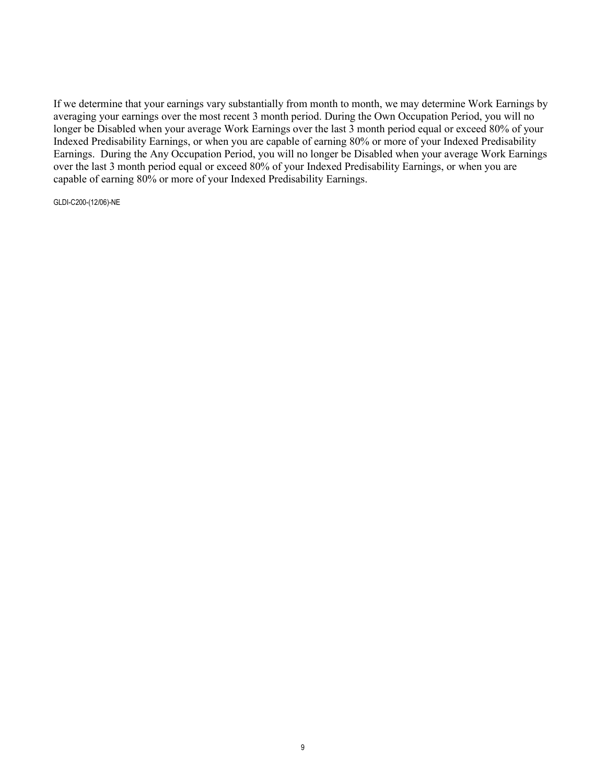If we determine that your earnings vary substantially from month to month, we may determine Work Earnings by averaging your earnings over the most recent 3 month period. During the Own Occupation Period, you will no longer be Disabled when your average Work Earnings over the last 3 month period equal or exceed 80% of your Indexed Predisability Earnings, or when you are capable of earning 80% or more of your Indexed Predisability Earnings. During the Any Occupation Period, you will no longer be Disabled when your average Work Earnings over the last 3 month period equal or exceed 80% of your Indexed Predisability Earnings, or when you are capable of earning 80% or more of your Indexed Predisability Earnings.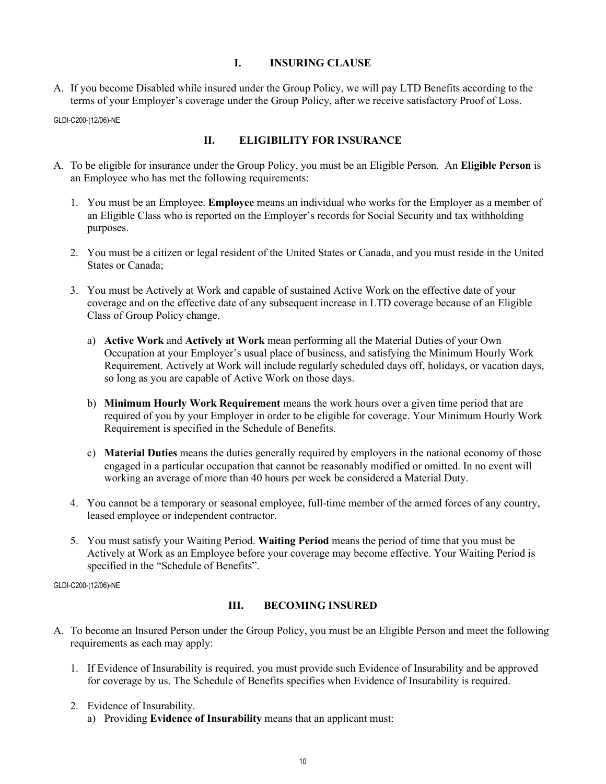#### **I. INSURING CLAUSE**

A. If you become Disabled while insured under the Group Policy, we will pay LTD Benefits according to the terms of your Employer's coverage under the Group Policy, after we receive satisfactory Proof of Loss.

GLDI-C200-(12/06)-NE

### **II. ELIGIBILITY FOR INSURANCE**

- A. To be eligible for insurance under the Group Policy, you must be an Eligible Person. An **Eligible Person** is an Employee who has met the following requirements:
	- 1. You must be an Employee. **Employee** means an individual who works for the Employer as a member of an Eligible Class who is reported on the Employer's records for Social Security and tax withholding purposes.
	- 2. You must be a citizen or legal resident of the United States or Canada, and you must reside in the United States or Canada;
	- 3. You must be Actively at Work and capable of sustained Active Work on the effective date of your coverage and on the effective date of any subsequent increase in LTD coverage because of an Eligible Class of Group Policy change.
		- a) **Active Work** and **Actively at Work** mean performing all the Material Duties of your Own Occupation at your Employer's usual place of business, and satisfying the Minimum Hourly Work Requirement. Actively at Work will include regularly scheduled days off, holidays, or vacation days, so long as you are capable of Active Work on those days.
		- b) **Minimum Hourly Work Requirement** means the work hours over a given time period that are required of you by your Employer in order to be eligible for coverage. Your Minimum Hourly Work Requirement is specified in the Schedule of Benefits.
		- c) **Material Duties** means the duties generally required by employers in the national economy of those engaged in a particular occupation that cannot be reasonably modified or omitted. In no event will working an average of more than 40 hours per week be considered a Material Duty.
	- 4. You cannot be a temporary or seasonal employee, full-time member of the armed forces of any country, leased employee or independent contractor.
	- 5. You must satisfy your Waiting Period. **Waiting Period** means the period of time that you must be Actively at Work as an Employee before your coverage may become effective. Your Waiting Period is specified in the "Schedule of Benefits".

GLDI-C200-(12/06)-NE

## **III. BECOMING INSURED**

- A. To become an Insured Person under the Group Policy, you must be an Eligible Person and meet the following requirements as each may apply:
	- 1. If Evidence of Insurability is required, you must provide such Evidence of Insurability and be approved for coverage by us. The Schedule of Benefits specifies when Evidence of Insurability is required.
	- 2. Evidence of Insurability. a) Providing **Evidence of Insurability** means that an applicant must: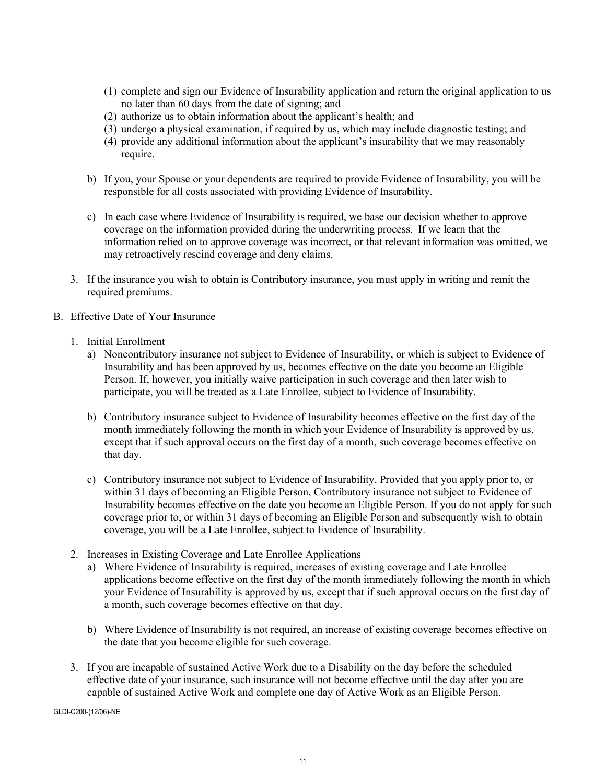- (1) complete and sign our Evidence of Insurability application and return the original application to us no later than 60 days from the date of signing; and
- (2) authorize us to obtain information about the applicant's health; and
- (3) undergo a physical examination, if required by us, which may include diagnostic testing; and
- (4) provide any additional information about the applicant's insurability that we may reasonably require.
- b) If you, your Spouse or your dependents are required to provide Evidence of Insurability, you will be responsible for all costs associated with providing Evidence of Insurability.
- c) In each case where Evidence of Insurability is required, we base our decision whether to approve coverage on the information provided during the underwriting process. If we learn that the information relied on to approve coverage was incorrect, or that relevant information was omitted, we may retroactively rescind coverage and deny claims.
- 3. If the insurance you wish to obtain is Contributory insurance, you must apply in writing and remit the required premiums.
- B. Effective Date of Your Insurance
	- 1. Initial Enrollment
		- a) Noncontributory insurance not subject to Evidence of Insurability, or which is subject to Evidence of Insurability and has been approved by us, becomes effective on the date you become an Eligible Person. If, however, you initially waive participation in such coverage and then later wish to participate, you will be treated as a Late Enrollee, subject to Evidence of Insurability.
		- b) Contributory insurance subject to Evidence of Insurability becomes effective on the first day of the month immediately following the month in which your Evidence of Insurability is approved by us, except that if such approval occurs on the first day of a month, such coverage becomes effective on that day.
		- c) Contributory insurance not subject to Evidence of Insurability. Provided that you apply prior to, or within 31 days of becoming an Eligible Person, Contributory insurance not subject to Evidence of Insurability becomes effective on the date you become an Eligible Person. If you do not apply for such coverage prior to, or within 31 days of becoming an Eligible Person and subsequently wish to obtain coverage, you will be a Late Enrollee, subject to Evidence of Insurability.
	- 2. Increases in Existing Coverage and Late Enrollee Applications
		- a) Where Evidence of Insurability is required, increases of existing coverage and Late Enrollee applications become effective on the first day of the month immediately following the month in which your Evidence of Insurability is approved by us, except that if such approval occurs on the first day of a month, such coverage becomes effective on that day.
		- b) Where Evidence of Insurability is not required, an increase of existing coverage becomes effective on the date that you become eligible for such coverage.
	- 3. If you are incapable of sustained Active Work due to a Disability on the day before the scheduled effective date of your insurance, such insurance will not become effective until the day after you are capable of sustained Active Work and complete one day of Active Work as an Eligible Person.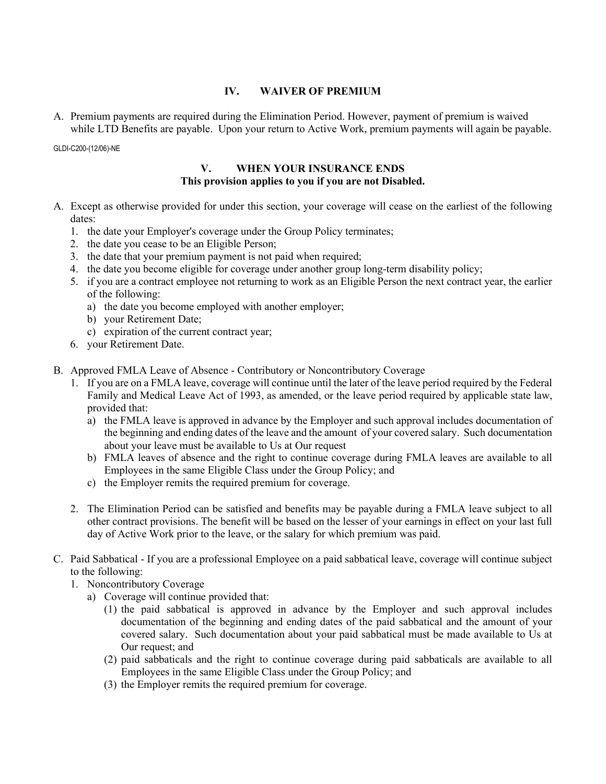#### **IV. WAIVER OF PREMIUM**

A. Premium payments are required during the Elimination Period. However, payment of premium is waived while LTD Benefits are payable. Upon your return to Active Work, premium payments will again be payable.

GLDI-C200-(12/06)-NE

### **V. WHEN YOUR INSURANCE ENDS This provision applies to you if you are not Disabled.**

- A. Except as otherwise provided for under this section, your coverage will cease on the earliest of the following dates:
	- 1. the date your Employer's coverage under the Group Policy terminates;
	- 2. the date you cease to be an Eligible Person;
	- 3. the date that your premium payment is not paid when required;
	- 4. the date you become eligible for coverage under another group long-term disability policy;
	- 5. if you are a contract employee not returning to work as an Eligible Person the next contract year, the earlier of the following:
		- a) the date you become employed with another employer;
		- b) your Retirement Date;
		- c) expiration of the current contract year;
	- 6. your Retirement Date.
- B. Approved FMLA Leave of Absence Contributory or Noncontributory Coverage
	- 1. If you are on a FMLA leave, coverage will continue until the later of the leave period required by the Federal Family and Medical Leave Act of 1993, as amended, or the leave period required by applicable state law, provided that:
		- a) the FMLA leave is approved in advance by the Employer and such approval includes documentation of the beginning and ending dates of the leave and the amount of your covered salary. Such documentation about your leave must be available to Us at Our request
		- b) FMLA leaves of absence and the right to continue coverage during FMLA leaves are available to all Employees in the same Eligible Class under the Group Policy; and
		- c) the Employer remits the required premium for coverage.
	- 2. The Elimination Period can be satisfied and benefits may be payable during a FMLA leave subject to all other contract provisions. The benefit will be based on the lesser of your earnings in effect on your last full day of Active Work prior to the leave, or the salary for which premium was paid.
- C. Paid Sabbatical If you are a professional Employee on a paid sabbatical leave, coverage will continue subject to the following:
	- 1. Noncontributory Coverage
		- a) Coverage will continue provided that:
			- (1) the paid sabbatical is approved in advance by the Employer and such approval includes documentation of the beginning and ending dates of the paid sabbatical and the amount of your covered salary. Such documentation about your paid sabbatical must be made available to Us at Our request; and
			- (2) paid sabbaticals and the right to continue coverage during paid sabbaticals are available to all Employees in the same Eligible Class under the Group Policy; and
			- (3) the Employer remits the required premium for coverage.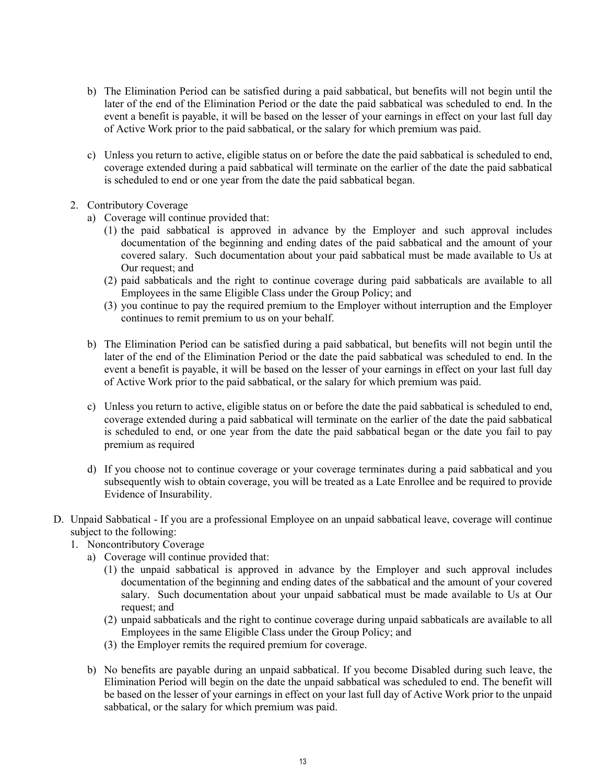- b) The Elimination Period can be satisfied during a paid sabbatical, but benefits will not begin until the later of the end of the Elimination Period or the date the paid sabbatical was scheduled to end. In the event a benefit is payable, it will be based on the lesser of your earnings in effect on your last full day of Active Work prior to the paid sabbatical, or the salary for which premium was paid.
- c) Unless you return to active, eligible status on or before the date the paid sabbatical is scheduled to end, coverage extended during a paid sabbatical will terminate on the earlier of the date the paid sabbatical is scheduled to end or one year from the date the paid sabbatical began.
- 2. Contributory Coverage
	- a) Coverage will continue provided that:
		- (1) the paid sabbatical is approved in advance by the Employer and such approval includes documentation of the beginning and ending dates of the paid sabbatical and the amount of your covered salary. Such documentation about your paid sabbatical must be made available to Us at Our request; and
		- (2) paid sabbaticals and the right to continue coverage during paid sabbaticals are available to all Employees in the same Eligible Class under the Group Policy; and
		- (3) you continue to pay the required premium to the Employer without interruption and the Employer continues to remit premium to us on your behalf.
	- b) The Elimination Period can be satisfied during a paid sabbatical, but benefits will not begin until the later of the end of the Elimination Period or the date the paid sabbatical was scheduled to end. In the event a benefit is payable, it will be based on the lesser of your earnings in effect on your last full day of Active Work prior to the paid sabbatical, or the salary for which premium was paid.
	- c) Unless you return to active, eligible status on or before the date the paid sabbatical is scheduled to end, coverage extended during a paid sabbatical will terminate on the earlier of the date the paid sabbatical is scheduled to end, or one year from the date the paid sabbatical began or the date you fail to pay premium as required
	- d) If you choose not to continue coverage or your coverage terminates during a paid sabbatical and you subsequently wish to obtain coverage, you will be treated as a Late Enrollee and be required to provide Evidence of Insurability.
- D. Unpaid Sabbatical If you are a professional Employee on an unpaid sabbatical leave, coverage will continue subject to the following:
	- 1. Noncontributory Coverage
		- a) Coverage will continue provided that:
			- (1) the unpaid sabbatical is approved in advance by the Employer and such approval includes documentation of the beginning and ending dates of the sabbatical and the amount of your covered salary. Such documentation about your unpaid sabbatical must be made available to Us at Our request; and
			- (2) unpaid sabbaticals and the right to continue coverage during unpaid sabbaticals are available to all Employees in the same Eligible Class under the Group Policy; and
			- (3) the Employer remits the required premium for coverage.
		- b) No benefits are payable during an unpaid sabbatical. If you become Disabled during such leave, the Elimination Period will begin on the date the unpaid sabbatical was scheduled to end. The benefit will be based on the lesser of your earnings in effect on your last full day of Active Work prior to the unpaid sabbatical, or the salary for which premium was paid.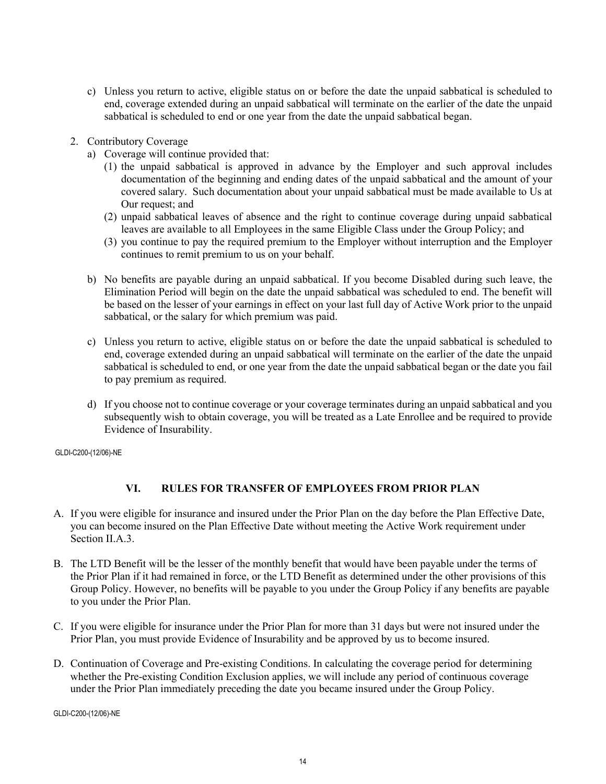- c) Unless you return to active, eligible status on or before the date the unpaid sabbatical is scheduled to end, coverage extended during an unpaid sabbatical will terminate on the earlier of the date the unpaid sabbatical is scheduled to end or one year from the date the unpaid sabbatical began.
- 2. Contributory Coverage
	- a) Coverage will continue provided that:
		- (1) the unpaid sabbatical is approved in advance by the Employer and such approval includes documentation of the beginning and ending dates of the unpaid sabbatical and the amount of your covered salary. Such documentation about your unpaid sabbatical must be made available to Us at Our request; and
		- (2) unpaid sabbatical leaves of absence and the right to continue coverage during unpaid sabbatical leaves are available to all Employees in the same Eligible Class under the Group Policy; and
		- (3) you continue to pay the required premium to the Employer without interruption and the Employer continues to remit premium to us on your behalf.
	- b) No benefits are payable during an unpaid sabbatical. If you become Disabled during such leave, the Elimination Period will begin on the date the unpaid sabbatical was scheduled to end. The benefit will be based on the lesser of your earnings in effect on your last full day of Active Work prior to the unpaid sabbatical, or the salary for which premium was paid.
	- c) Unless you return to active, eligible status on or before the date the unpaid sabbatical is scheduled to end, coverage extended during an unpaid sabbatical will terminate on the earlier of the date the unpaid sabbatical is scheduled to end, or one year from the date the unpaid sabbatical began or the date you fail to pay premium as required.
	- d) If you choose not to continue coverage or your coverage terminates during an unpaid sabbatical and you subsequently wish to obtain coverage, you will be treated as a Late Enrollee and be required to provide Evidence of Insurability.

## **VI. RULES FOR TRANSFER OF EMPLOYEES FROM PRIOR PLAN**

- A. If you were eligible for insurance and insured under the Prior Plan on the day before the Plan Effective Date, you can become insured on the Plan Effective Date without meeting the Active Work requirement under Section II.A.3.
- B. The LTD Benefit will be the lesser of the monthly benefit that would have been payable under the terms of the Prior Plan if it had remained in force, or the LTD Benefit as determined under the other provisions of this Group Policy. However, no benefits will be payable to you under the Group Policy if any benefits are payable to you under the Prior Plan.
- C. If you were eligible for insurance under the Prior Plan for more than 31 days but were not insured under the Prior Plan, you must provide Evidence of Insurability and be approved by us to become insured.
- D. Continuation of Coverage and Pre-existing Conditions. In calculating the coverage period for determining whether the Pre-existing Condition Exclusion applies, we will include any period of continuous coverage under the Prior Plan immediately preceding the date you became insured under the Group Policy.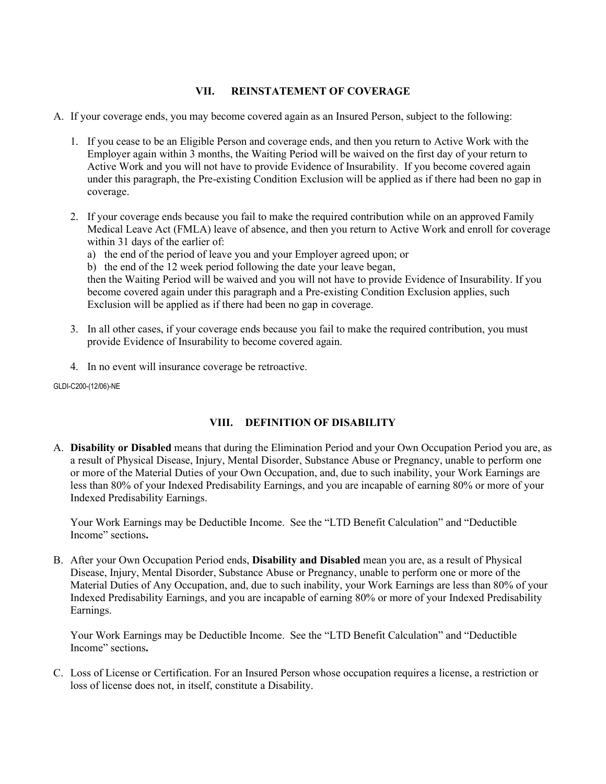#### **VII. REINSTATEMENT OF COVERAGE**

- A. If your coverage ends, you may become covered again as an Insured Person, subject to the following:
	- 1. If you cease to be an Eligible Person and coverage ends, and then you return to Active Work with the Employer again within 3 months, the Waiting Period will be waived on the first day of your return to Active Work and you will not have to provide Evidence of Insurability. If you become covered again under this paragraph, the Pre-existing Condition Exclusion will be applied as if there had been no gap in coverage.
	- 2. If your coverage ends because you fail to make the required contribution while on an approved Family Medical Leave Act (FMLA) leave of absence, and then you return to Active Work and enroll for coverage within 31 days of the earlier of:
		- a) the end of the period of leave you and your Employer agreed upon; or
		- b) the end of the 12 week period following the date your leave began,

then the Waiting Period will be waived and you will not have to provide Evidence of Insurability. If you become covered again under this paragraph and a Pre-existing Condition Exclusion applies, such Exclusion will be applied as if there had been no gap in coverage.

- 3. In all other cases, if your coverage ends because you fail to make the required contribution, you must provide Evidence of Insurability to become covered again.
- 4. In no event will insurance coverage be retroactive.

GLDI-C200-(12/06)-NE

## **VIII. DEFINITION OF DISABILITY**

A. **Disability or Disabled** means that during the Elimination Period and your Own Occupation Period you are, as a result of Physical Disease, Injury, Mental Disorder, Substance Abuse or Pregnancy, unable to perform one or more of the Material Duties of your Own Occupation, and, due to such inability, your Work Earnings are less than 80% of your Indexed Predisability Earnings, and you are incapable of earning 80% or more of your Indexed Predisability Earnings.

Your Work Earnings may be Deductible Income. See the "LTD Benefit Calculation" and "Deductible Income" sections**.**

B. After your Own Occupation Period ends, **Disability and Disabled** mean you are, as a result of Physical Disease, Injury, Mental Disorder, Substance Abuse or Pregnancy, unable to perform one or more of the Material Duties of Any Occupation, and, due to such inability, your Work Earnings are less than 80% of your Indexed Predisability Earnings, and you are incapable of earning 80% or more of your Indexed Predisability Earnings.

Your Work Earnings may be Deductible Income. See the "LTD Benefit Calculation" and "Deductible Income" sections**.**

C. Loss of License or Certification. For an Insured Person whose occupation requires a license, a restriction or loss of license does not, in itself, constitute a Disability.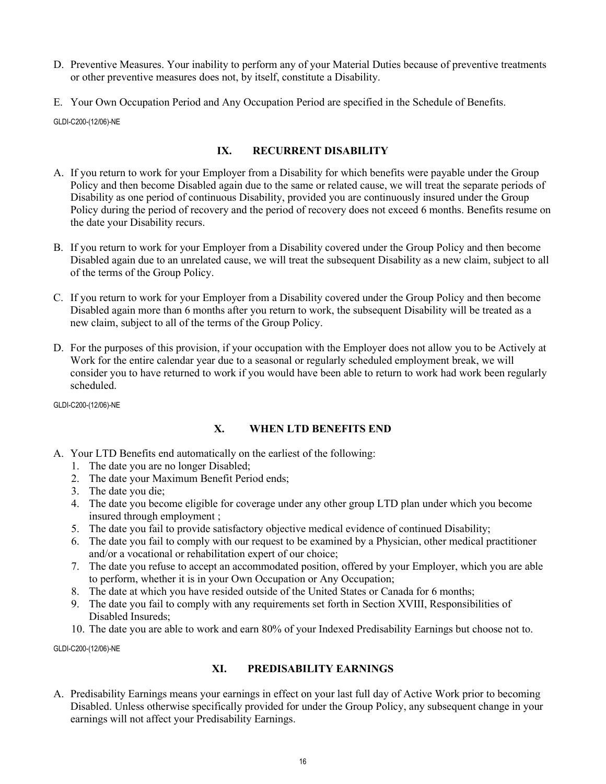- D. Preventive Measures. Your inability to perform any of your Material Duties because of preventive treatments or other preventive measures does not, by itself, constitute a Disability.
- E. Your Own Occupation Period and Any Occupation Period are specified in the Schedule of Benefits.

## **IX. RECURRENT DISABILITY**

- A. If you return to work for your Employer from a Disability for which benefits were payable under the Group Policy and then become Disabled again due to the same or related cause, we will treat the separate periods of Disability as one period of continuous Disability, provided you are continuously insured under the Group Policy during the period of recovery and the period of recovery does not exceed 6 months. Benefits resume on the date your Disability recurs.
- B. If you return to work for your Employer from a Disability covered under the Group Policy and then become Disabled again due to an unrelated cause, we will treat the subsequent Disability as a new claim, subject to all of the terms of the Group Policy.
- C. If you return to work for your Employer from a Disability covered under the Group Policy and then become Disabled again more than 6 months after you return to work, the subsequent Disability will be treated as a new claim, subject to all of the terms of the Group Policy.
- D. For the purposes of this provision, if your occupation with the Employer does not allow you to be Actively at Work for the entire calendar year due to a seasonal or regularly scheduled employment break, we will consider you to have returned to work if you would have been able to return to work had work been regularly scheduled.

GLDI-C200-(12/06)-NE

## **X. WHEN LTD BENEFITS END**

- A. Your LTD Benefits end automatically on the earliest of the following:
	- 1. The date you are no longer Disabled;
	- 2. The date your Maximum Benefit Period ends;
	- 3. The date you die;
	- 4. The date you become eligible for coverage under any other group LTD plan under which you become insured through employment ;
	- 5. The date you fail to provide satisfactory objective medical evidence of continued Disability;
	- 6. The date you fail to comply with our request to be examined by a Physician, other medical practitioner and/or a vocational or rehabilitation expert of our choice;
	- 7. The date you refuse to accept an accommodated position, offered by your Employer, which you are able to perform, whether it is in your Own Occupation or Any Occupation;
	- 8. The date at which you have resided outside of the United States or Canada for 6 months;
	- 9. The date you fail to comply with any requirements set forth in Section XVIII, Responsibilities of Disabled Insureds;
	- 10. The date you are able to work and earn 80% of your Indexed Predisability Earnings but choose not to.

GLDI-C200-(12/06)-NE

## **XI. PREDISABILITY EARNINGS**

A. Predisability Earnings means your earnings in effect on your last full day of Active Work prior to becoming Disabled. Unless otherwise specifically provided for under the Group Policy, any subsequent change in your earnings will not affect your Predisability Earnings.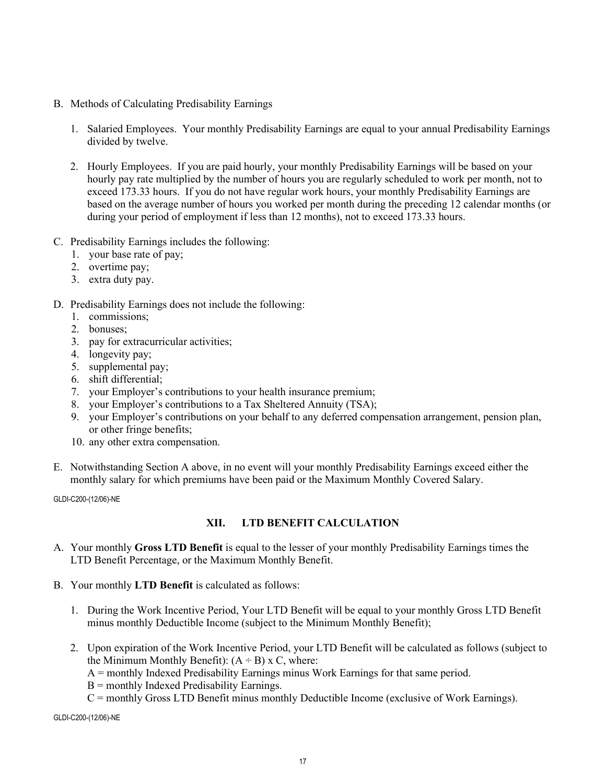- B. Methods of Calculating Predisability Earnings
	- 1. Salaried Employees. Your monthly Predisability Earnings are equal to your annual Predisability Earnings divided by twelve.
	- 2. Hourly Employees. If you are paid hourly, your monthly Predisability Earnings will be based on your hourly pay rate multiplied by the number of hours you are regularly scheduled to work per month, not to exceed 173.33 hours. If you do not have regular work hours, your monthly Predisability Earnings are based on the average number of hours you worked per month during the preceding 12 calendar months (or during your period of employment if less than 12 months), not to exceed 173.33 hours.
- C. Predisability Earnings includes the following:
	- 1. your base rate of pay;
	- 2. overtime pay;
	- 3. extra duty pay.

#### D. Predisability Earnings does not include the following:

- 1. commissions;
- 2. bonuses;
- 3. pay for extracurricular activities;
- 4. longevity pay;
- 5. supplemental pay;
- 6. shift differential;
- 7. your Employer's contributions to your health insurance premium;
- 8. your Employer's contributions to a Tax Sheltered Annuity (TSA);
- 9. your Employer's contributions on your behalf to any deferred compensation arrangement, pension plan, or other fringe benefits;
- 10. any other extra compensation.
- E. Notwithstanding Section A above, in no event will your monthly Predisability Earnings exceed either the monthly salary for which premiums have been paid or the Maximum Monthly Covered Salary.

GLDI-C200-(12/06)-NE

## **XII. LTD BENEFIT CALCULATION**

- A. Your monthly **Gross LTD Benefit** is equal to the lesser of your monthly Predisability Earnings times the LTD Benefit Percentage, or the Maximum Monthly Benefit.
- B. Your monthly **LTD Benefit** is calculated as follows:
	- 1. During the Work Incentive Period, Your LTD Benefit will be equal to your monthly Gross LTD Benefit minus monthly Deductible Income (subject to the Minimum Monthly Benefit);
	- 2. Upon expiration of the Work Incentive Period, your LTD Benefit will be calculated as follows (subject to the Minimum Monthly Benefit):  $(A \div B)$  x C, where:
		- A = monthly Indexed Predisability Earnings minus Work Earnings for that same period.

 $B =$  monthly Indexed Predisability Earnings.

C = monthly Gross LTD Benefit minus monthly Deductible Income (exclusive of Work Earnings).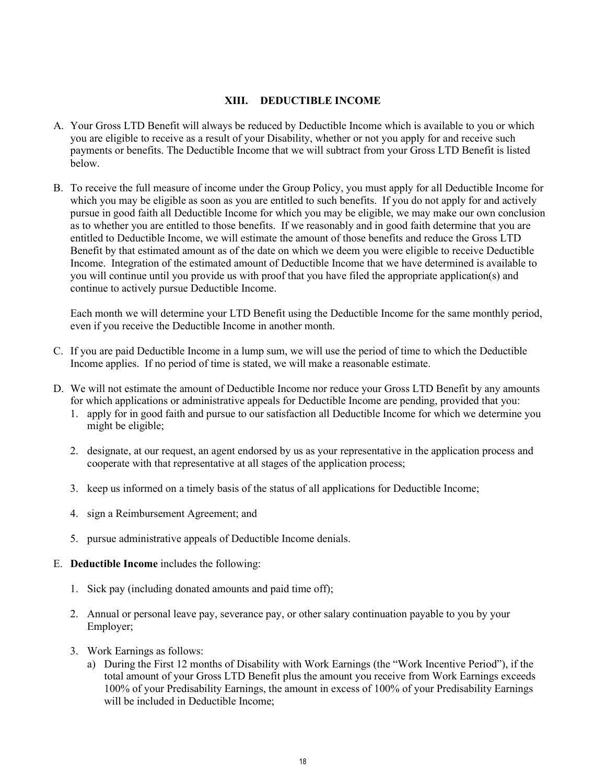#### **XIII. DEDUCTIBLE INCOME**

- A. Your Gross LTD Benefit will always be reduced by Deductible Income which is available to you or which you are eligible to receive as a result of your Disability, whether or not you apply for and receive such payments or benefits. The Deductible Income that we will subtract from your Gross LTD Benefit is listed below.
- B. To receive the full measure of income under the Group Policy, you must apply for all Deductible Income for which you may be eligible as soon as you are entitled to such benefits. If you do not apply for and actively pursue in good faith all Deductible Income for which you may be eligible, we may make our own conclusion as to whether you are entitled to those benefits. If we reasonably and in good faith determine that you are entitled to Deductible Income, we will estimate the amount of those benefits and reduce the Gross LTD Benefit by that estimated amount as of the date on which we deem you were eligible to receive Deductible Income. Integration of the estimated amount of Deductible Income that we have determined is available to you will continue until you provide us with proof that you have filed the appropriate application(s) and continue to actively pursue Deductible Income.

Each month we will determine your LTD Benefit using the Deductible Income for the same monthly period, even if you receive the Deductible Income in another month.

- C. If you are paid Deductible Income in a lump sum, we will use the period of time to which the Deductible Income applies. If no period of time is stated, we will make a reasonable estimate.
- D. We will not estimate the amount of Deductible Income nor reduce your Gross LTD Benefit by any amounts for which applications or administrative appeals for Deductible Income are pending, provided that you:
	- 1. apply for in good faith and pursue to our satisfaction all Deductible Income for which we determine you might be eligible;
	- 2. designate, at our request, an agent endorsed by us as your representative in the application process and cooperate with that representative at all stages of the application process;
	- 3. keep us informed on a timely basis of the status of all applications for Deductible Income;
	- 4. sign a Reimbursement Agreement; and
	- 5. pursue administrative appeals of Deductible Income denials.
- E. **Deductible Income** includes the following:
	- 1. Sick pay (including donated amounts and paid time off);
	- 2. Annual or personal leave pay, severance pay, or other salary continuation payable to you by your Employer;
	- 3. Work Earnings as follows:
		- a) During the First 12 months of Disability with Work Earnings (the "Work Incentive Period"), if the total amount of your Gross LTD Benefit plus the amount you receive from Work Earnings exceeds 100% of your Predisability Earnings, the amount in excess of 100% of your Predisability Earnings will be included in Deductible Income;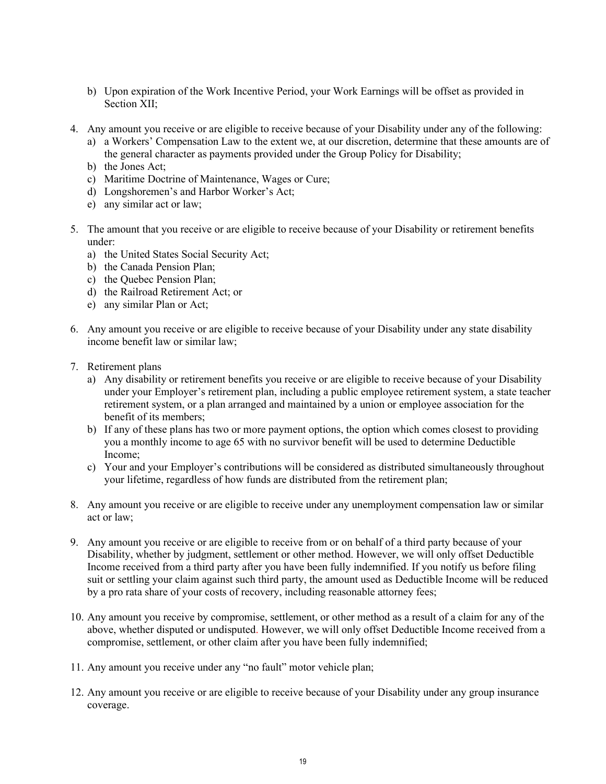- b) Upon expiration of the Work Incentive Period, your Work Earnings will be offset as provided in Section XII;
- 4. Any amount you receive or are eligible to receive because of your Disability under any of the following:
	- a) a Workers' Compensation Law to the extent we, at our discretion, determine that these amounts are of the general character as payments provided under the Group Policy for Disability;
	- b) the Jones Act;
	- c) Maritime Doctrine of Maintenance, Wages or Cure;
	- d) Longshoremen's and Harbor Worker's Act;
	- e) any similar act or law;
- 5. The amount that you receive or are eligible to receive because of your Disability or retirement benefits under:
	- a) the United States Social Security Act;
	- b) the Canada Pension Plan;
	- c) the Quebec Pension Plan;
	- d) the Railroad Retirement Act; or
	- e) any similar Plan or Act;
- 6. Any amount you receive or are eligible to receive because of your Disability under any state disability income benefit law or similar law;
- 7. Retirement plans
	- a) Any disability or retirement benefits you receive or are eligible to receive because of your Disability under your Employer's retirement plan, including a public employee retirement system, a state teacher retirement system, or a plan arranged and maintained by a union or employee association for the benefit of its members;
	- b) If any of these plans has two or more payment options, the option which comes closest to providing you a monthly income to age 65 with no survivor benefit will be used to determine Deductible Income;
	- c) Your and your Employer's contributions will be considered as distributed simultaneously throughout your lifetime, regardless of how funds are distributed from the retirement plan;
- 8. Any amount you receive or are eligible to receive under any unemployment compensation law or similar act or law;
- 9. Any amount you receive or are eligible to receive from or on behalf of a third party because of your Disability, whether by judgment, settlement or other method. However, we will only offset Deductible Income received from a third party after you have been fully indemnified. If you notify us before filing suit or settling your claim against such third party, the amount used as Deductible Income will be reduced by a pro rata share of your costs of recovery, including reasonable attorney fees;
- 10. Any amount you receive by compromise, settlement, or other method as a result of a claim for any of the above, whether disputed or undisputed. However, we will only offset Deductible Income received from a compromise, settlement, or other claim after you have been fully indemnified;
- 11. Any amount you receive under any "no fault" motor vehicle plan;
- 12. Any amount you receive or are eligible to receive because of your Disability under any group insurance coverage.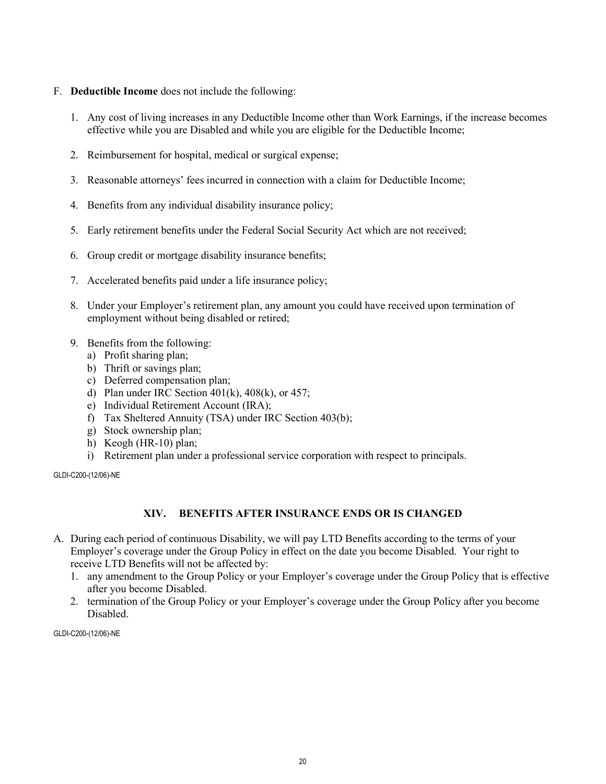#### F. **Deductible Income** does not include the following:

- 1. Any cost of living increases in any Deductible Income other than Work Earnings, if the increase becomes effective while you are Disabled and while you are eligible for the Deductible Income;
- 2. Reimbursement for hospital, medical or surgical expense;
- 3. Reasonable attorneys' fees incurred in connection with a claim for Deductible Income;
- 4. Benefits from any individual disability insurance policy;
- 5. Early retirement benefits under the Federal Social Security Act which are not received;
- 6. Group credit or mortgage disability insurance benefits;
- 7. Accelerated benefits paid under a life insurance policy;
- 8. Under your Employer's retirement plan, any amount you could have received upon termination of employment without being disabled or retired;
- 9. Benefits from the following:
	- a) Profit sharing plan;
	- b) Thrift or savings plan;
	- c) Deferred compensation plan;
	- d) Plan under IRC Section  $401(k)$ ,  $408(k)$ , or  $457$ ;
	- e) Individual Retirement Account (IRA);
	- f) Tax Sheltered Annuity (TSA) under IRC Section 403(b);
	- g) Stock ownership plan;
	- h) Keogh (HR-10) plan;
	- i) Retirement plan under a professional service corporation with respect to principals.

GLDI-C200-(12/06)-NE

#### **XIV. BENEFITS AFTER INSURANCE ENDS OR IS CHANGED**

- A. During each period of continuous Disability, we will pay LTD Benefits according to the terms of your Employer's coverage under the Group Policy in effect on the date you become Disabled. Your right to receive LTD Benefits will not be affected by:
	- 1. any amendment to the Group Policy or your Employer's coverage under the Group Policy that is effective after you become Disabled.
	- 2. termination of the Group Policy or your Employer's coverage under the Group Policy after you become Disabled.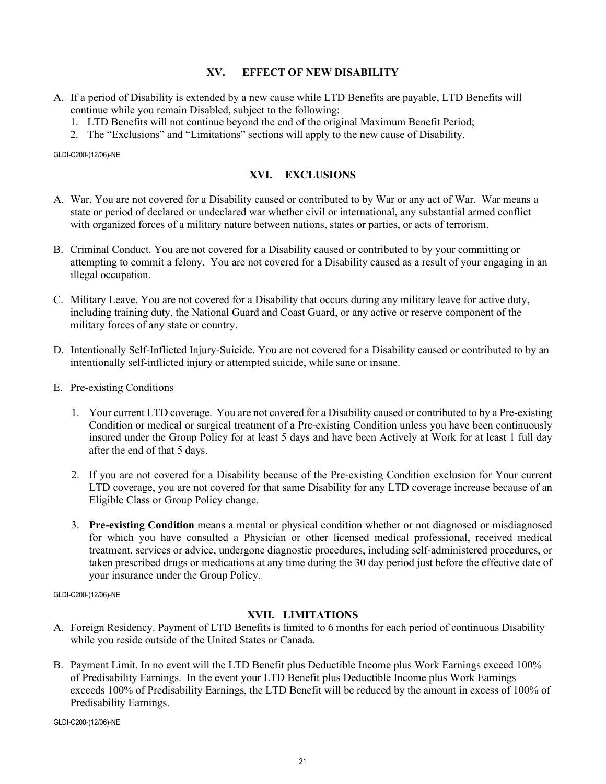#### **XV. EFFECT OF NEW DISABILITY**

- A. If a period of Disability is extended by a new cause while LTD Benefits are payable, LTD Benefits will continue while you remain Disabled, subject to the following:
	- 1. LTD Benefits will not continue beyond the end of the original Maximum Benefit Period;
	- 2. The "Exclusions" and "Limitations" sections will apply to the new cause of Disability.

GLDI-C200-(12/06)-NE

## **XVI. EXCLUSIONS**

- A. War. You are not covered for a Disability caused or contributed to by War or any act of War. War means a state or period of declared or undeclared war whether civil or international, any substantial armed conflict with organized forces of a military nature between nations, states or parties, or acts of terrorism.
- B. Criminal Conduct. You are not covered for a Disability caused or contributed to by your committing or attempting to commit a felony. You are not covered for a Disability caused as a result of your engaging in an illegal occupation.
- C. Military Leave. You are not covered for a Disability that occurs during any military leave for active duty, including training duty, the National Guard and Coast Guard, or any active or reserve component of the military forces of any state or country.
- D. Intentionally Self-Inflicted Injury-Suicide. You are not covered for a Disability caused or contributed to by an intentionally self-inflicted injury or attempted suicide, while sane or insane.
- E. Pre-existing Conditions
	- 1. Your current LTD coverage. You are not covered for a Disability caused or contributed to by a Pre-existing Condition or medical or surgical treatment of a Pre-existing Condition unless you have been continuously insured under the Group Policy for at least 5 days and have been Actively at Work for at least 1 full day after the end of that 5 days.
	- 2. If you are not covered for a Disability because of the Pre-existing Condition exclusion for Your current LTD coverage, you are not covered for that same Disability for any LTD coverage increase because of an Eligible Class or Group Policy change.
	- 3. **Pre-existing Condition** means a mental or physical condition whether or not diagnosed or misdiagnosed for which you have consulted a Physician or other licensed medical professional, received medical treatment, services or advice, undergone diagnostic procedures, including self-administered procedures, or taken prescribed drugs or medications at any time during the 30 day period just before the effective date of your insurance under the Group Policy.

GLDI-C200-(12/06)-NE

## **XVII. LIMITATIONS**

- A. Foreign Residency. Payment of LTD Benefits is limited to 6 months for each period of continuous Disability while you reside outside of the United States or Canada.
- B. Payment Limit. In no event will the LTD Benefit plus Deductible Income plus Work Earnings exceed 100% of Predisability Earnings. In the event your LTD Benefit plus Deductible Income plus Work Earnings exceeds 100% of Predisability Earnings, the LTD Benefit will be reduced by the amount in excess of 100% of Predisability Earnings.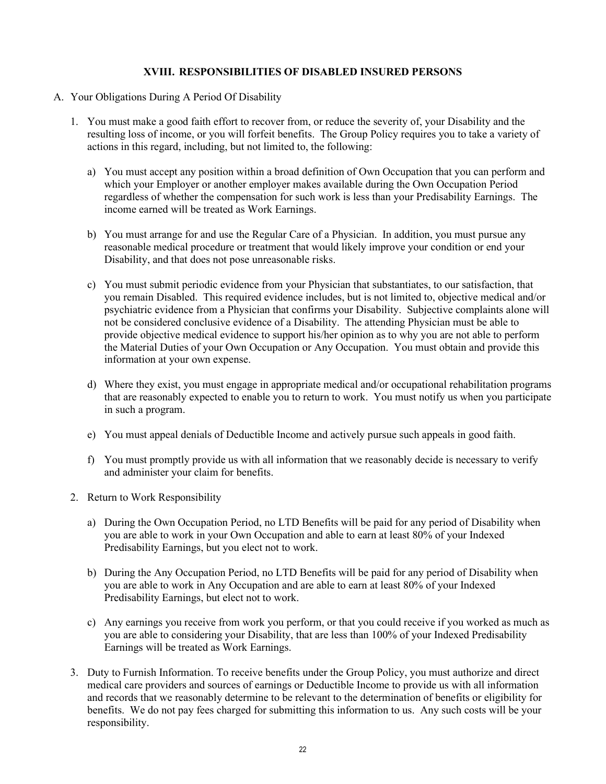#### **XVIII. RESPONSIBILITIES OF DISABLED INSURED PERSONS**

- A. Your Obligations During A Period Of Disability
	- 1. You must make a good faith effort to recover from, or reduce the severity of, your Disability and the resulting loss of income, or you will forfeit benefits. The Group Policy requires you to take a variety of actions in this regard, including, but not limited to, the following:
		- a) You must accept any position within a broad definition of Own Occupation that you can perform and which your Employer or another employer makes available during the Own Occupation Period regardless of whether the compensation for such work is less than your Predisability Earnings. The income earned will be treated as Work Earnings.
		- b) You must arrange for and use the Regular Care of a Physician. In addition, you must pursue any reasonable medical procedure or treatment that would likely improve your condition or end your Disability, and that does not pose unreasonable risks.
		- c) You must submit periodic evidence from your Physician that substantiates, to our satisfaction, that you remain Disabled. This required evidence includes, but is not limited to, objective medical and/or psychiatric evidence from a Physician that confirms your Disability. Subjective complaints alone will not be considered conclusive evidence of a Disability. The attending Physician must be able to provide objective medical evidence to support his/her opinion as to why you are not able to perform the Material Duties of your Own Occupation or Any Occupation. You must obtain and provide this information at your own expense.
		- d) Where they exist, you must engage in appropriate medical and/or occupational rehabilitation programs that are reasonably expected to enable you to return to work. You must notify us when you participate in such a program.
		- e) You must appeal denials of Deductible Income and actively pursue such appeals in good faith.
		- f) You must promptly provide us with all information that we reasonably decide is necessary to verify and administer your claim for benefits.
	- 2. Return to Work Responsibility
		- a) During the Own Occupation Period, no LTD Benefits will be paid for any period of Disability when you are able to work in your Own Occupation and able to earn at least 80% of your Indexed Predisability Earnings, but you elect not to work.
		- b) During the Any Occupation Period, no LTD Benefits will be paid for any period of Disability when you are able to work in Any Occupation and are able to earn at least 80% of your Indexed Predisability Earnings, but elect not to work.
		- c) Any earnings you receive from work you perform, or that you could receive if you worked as much as you are able to considering your Disability, that are less than 100% of your Indexed Predisability Earnings will be treated as Work Earnings.
	- 3. Duty to Furnish Information. To receive benefits under the Group Policy, you must authorize and direct medical care providers and sources of earnings or Deductible Income to provide us with all information and records that we reasonably determine to be relevant to the determination of benefits or eligibility for benefits. We do not pay fees charged for submitting this information to us. Any such costs will be your responsibility.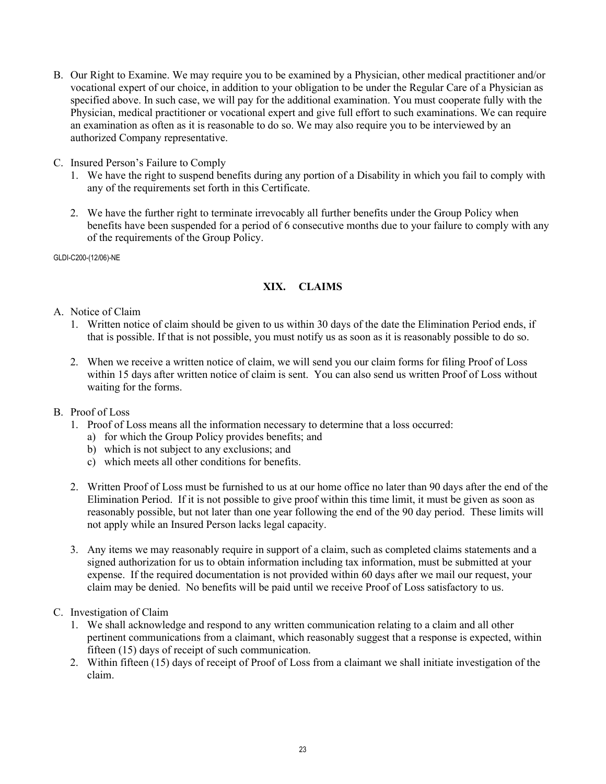- B. Our Right to Examine. We may require you to be examined by a Physician, other medical practitioner and/or vocational expert of our choice, in addition to your obligation to be under the Regular Care of a Physician as specified above. In such case, we will pay for the additional examination. You must cooperate fully with the Physician, medical practitioner or vocational expert and give full effort to such examinations. We can require an examination as often as it is reasonable to do so. We may also require you to be interviewed by an authorized Company representative.
- C. Insured Person's Failure to Comply
	- 1. We have the right to suspend benefits during any portion of a Disability in which you fail to comply with any of the requirements set forth in this Certificate.
	- 2. We have the further right to terminate irrevocably all further benefits under the Group Policy when benefits have been suspended for a period of 6 consecutive months due to your failure to comply with any of the requirements of the Group Policy.

#### **XIX. CLAIMS**

- A. Notice of Claim
	- 1. Written notice of claim should be given to us within 30 days of the date the Elimination Period ends, if that is possible. If that is not possible, you must notify us as soon as it is reasonably possible to do so.
	- 2. When we receive a written notice of claim, we will send you our claim forms for filing Proof of Loss within 15 days after written notice of claim is sent. You can also send us written Proof of Loss without waiting for the forms.
- B. Proof of Loss
	- 1. Proof of Loss means all the information necessary to determine that a loss occurred:
		- a) for which the Group Policy provides benefits; and
		- b) which is not subject to any exclusions; and
		- c) which meets all other conditions for benefits.
	- 2. Written Proof of Loss must be furnished to us at our home office no later than 90 days after the end of the Elimination Period. If it is not possible to give proof within this time limit, it must be given as soon as reasonably possible, but not later than one year following the end of the 90 day period. These limits will not apply while an Insured Person lacks legal capacity.
	- 3. Any items we may reasonably require in support of a claim, such as completed claims statements and a signed authorization for us to obtain information including tax information, must be submitted at your expense. If the required documentation is not provided within 60 days after we mail our request, your claim may be denied. No benefits will be paid until we receive Proof of Loss satisfactory to us.
- C. Investigation of Claim
	- 1. We shall acknowledge and respond to any written communication relating to a claim and all other pertinent communications from a claimant, which reasonably suggest that a response is expected, within fifteen (15) days of receipt of such communication.
	- 2. Within fifteen (15) days of receipt of Proof of Loss from a claimant we shall initiate investigation of the claim.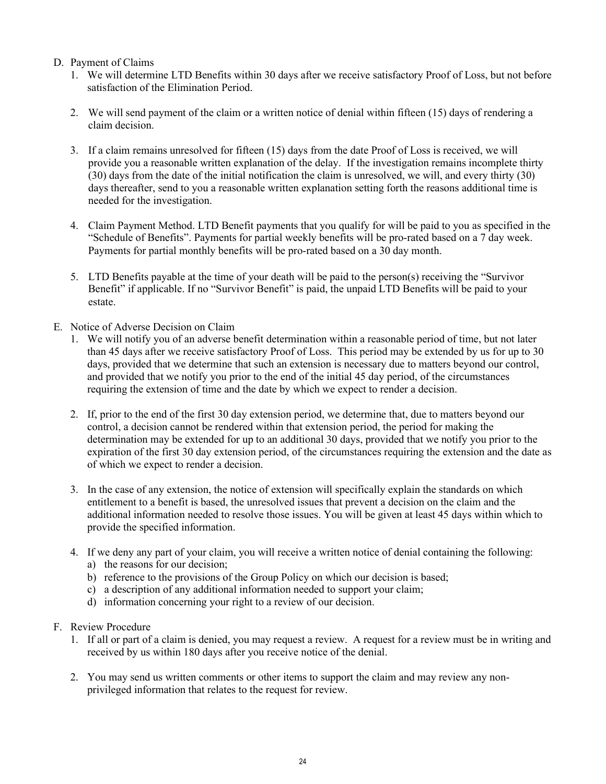#### D. Payment of Claims

- 1. We will determine LTD Benefits within 30 days after we receive satisfactory Proof of Loss, but not before satisfaction of the Elimination Period.
- 2. We will send payment of the claim or a written notice of denial within fifteen (15) days of rendering a claim decision.
- 3. If a claim remains unresolved for fifteen (15) days from the date Proof of Loss is received, we will provide you a reasonable written explanation of the delay. If the investigation remains incomplete thirty (30) days from the date of the initial notification the claim is unresolved, we will, and every thirty (30) days thereafter, send to you a reasonable written explanation setting forth the reasons additional time is needed for the investigation.
- 4. Claim Payment Method. LTD Benefit payments that you qualify for will be paid to you as specified in the "Schedule of Benefits". Payments for partial weekly benefits will be pro-rated based on a 7 day week. Payments for partial monthly benefits will be pro-rated based on a 30 day month.
- 5. LTD Benefits payable at the time of your death will be paid to the person(s) receiving the "Survivor Benefit" if applicable. If no "Survivor Benefit" is paid, the unpaid LTD Benefits will be paid to your estate.
- E. Notice of Adverse Decision on Claim
	- 1. We will notify you of an adverse benefit determination within a reasonable period of time, but not later than 45 days after we receive satisfactory Proof of Loss. This period may be extended by us for up to 30 days, provided that we determine that such an extension is necessary due to matters beyond our control, and provided that we notify you prior to the end of the initial 45 day period, of the circumstances requiring the extension of time and the date by which we expect to render a decision.
	- 2. If, prior to the end of the first 30 day extension period, we determine that, due to matters beyond our control, a decision cannot be rendered within that extension period, the period for making the determination may be extended for up to an additional 30 days, provided that we notify you prior to the expiration of the first 30 day extension period, of the circumstances requiring the extension and the date as of which we expect to render a decision.
	- 3. In the case of any extension, the notice of extension will specifically explain the standards on which entitlement to a benefit is based, the unresolved issues that prevent a decision on the claim and the additional information needed to resolve those issues. You will be given at least 45 days within which to provide the specified information.
	- 4. If we deny any part of your claim, you will receive a written notice of denial containing the following:
		- a) the reasons for our decision;
		- b) reference to the provisions of the Group Policy on which our decision is based;
		- c) a description of any additional information needed to support your claim;
		- d) information concerning your right to a review of our decision.
- F. Review Procedure
	- 1. If all or part of a claim is denied, you may request a review. A request for a review must be in writing and received by us within 180 days after you receive notice of the denial.
	- 2. You may send us written comments or other items to support the claim and may review any nonprivileged information that relates to the request for review.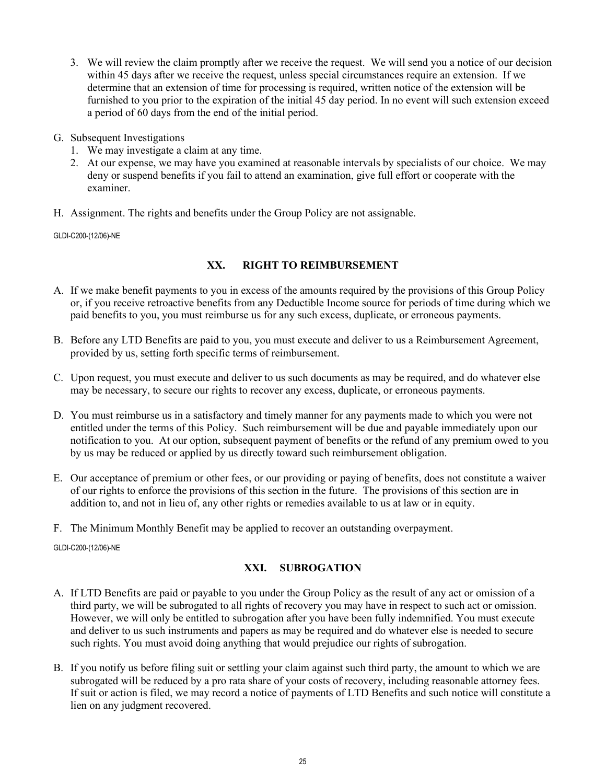- 3. We will review the claim promptly after we receive the request. We will send you a notice of our decision within 45 days after we receive the request, unless special circumstances require an extension. If we determine that an extension of time for processing is required, written notice of the extension will be furnished to you prior to the expiration of the initial 45 day period. In no event will such extension exceed a period of 60 days from the end of the initial period.
- G. Subsequent Investigations
	- 1. We may investigate a claim at any time.
	- 2. At our expense, we may have you examined at reasonable intervals by specialists of our choice. We may deny or suspend benefits if you fail to attend an examination, give full effort or cooperate with the examiner.
- H. Assignment. The rights and benefits under the Group Policy are not assignable.

## **XX. RIGHT TO REIMBURSEMENT**

- A. If we make benefit payments to you in excess of the amounts required by the provisions of this Group Policy or, if you receive retroactive benefits from any Deductible Income source for periods of time during which we paid benefits to you, you must reimburse us for any such excess, duplicate, or erroneous payments.
- B. Before any LTD Benefits are paid to you, you must execute and deliver to us a Reimbursement Agreement, provided by us, setting forth specific terms of reimbursement.
- C. Upon request, you must execute and deliver to us such documents as may be required, and do whatever else may be necessary, to secure our rights to recover any excess, duplicate, or erroneous payments.
- D. You must reimburse us in a satisfactory and timely manner for any payments made to which you were not entitled under the terms of this Policy. Such reimbursement will be due and payable immediately upon our notification to you. At our option, subsequent payment of benefits or the refund of any premium owed to you by us may be reduced or applied by us directly toward such reimbursement obligation.
- E. Our acceptance of premium or other fees, or our providing or paying of benefits, does not constitute a waiver of our rights to enforce the provisions of this section in the future. The provisions of this section are in addition to, and not in lieu of, any other rights or remedies available to us at law or in equity.
- F. The Minimum Monthly Benefit may be applied to recover an outstanding overpayment.

GLDI-C200-(12/06)-NE

## **XXI. SUBROGATION**

- A. If LTD Benefits are paid or payable to you under the Group Policy as the result of any act or omission of a third party, we will be subrogated to all rights of recovery you may have in respect to such act or omission. However, we will only be entitled to subrogation after you have been fully indemnified. You must execute and deliver to us such instruments and papers as may be required and do whatever else is needed to secure such rights. You must avoid doing anything that would prejudice our rights of subrogation.
- B. If you notify us before filing suit or settling your claim against such third party, the amount to which we are subrogated will be reduced by a pro rata share of your costs of recovery, including reasonable attorney fees. If suit or action is filed, we may record a notice of payments of LTD Benefits and such notice will constitute a lien on any judgment recovered.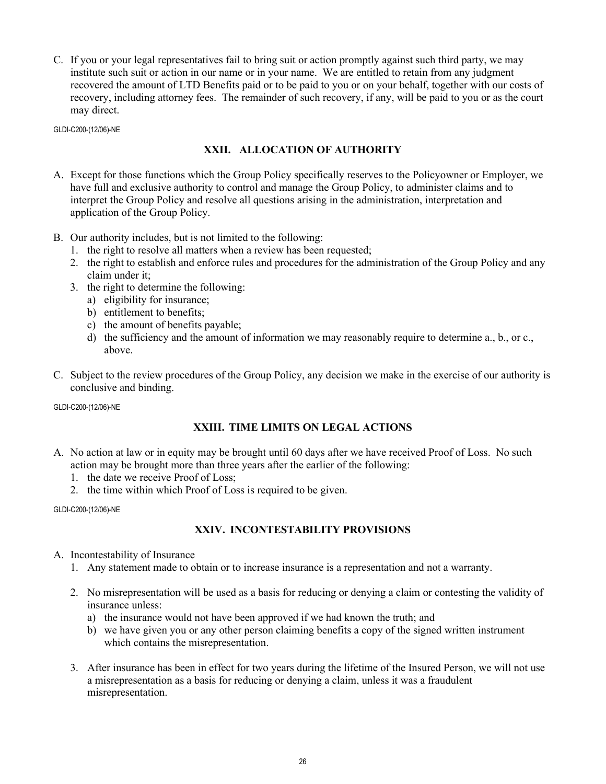C. If you or your legal representatives fail to bring suit or action promptly against such third party, we may institute such suit or action in our name or in your name. We are entitled to retain from any judgment recovered the amount of LTD Benefits paid or to be paid to you or on your behalf, together with our costs of recovery, including attorney fees. The remainder of such recovery, if any, will be paid to you or as the court may direct.

GLDI-C200-(12/06)-NE

## **XXII. ALLOCATION OF AUTHORITY**

- A. Except for those functions which the Group Policy specifically reserves to the Policyowner or Employer, we have full and exclusive authority to control and manage the Group Policy, to administer claims and to interpret the Group Policy and resolve all questions arising in the administration, interpretation and application of the Group Policy.
- B. Our authority includes, but is not limited to the following:
	- 1. the right to resolve all matters when a review has been requested;
	- 2. the right to establish and enforce rules and procedures for the administration of the Group Policy and any claim under it;
	- 3. the right to determine the following:
		- a) eligibility for insurance;
		- b) entitlement to benefits;
		- c) the amount of benefits payable;
		- d) the sufficiency and the amount of information we may reasonably require to determine a., b., or c., above.
- C. Subject to the review procedures of the Group Policy, any decision we make in the exercise of our authority is conclusive and binding.

GLDI-C200-(12/06)-NE

## **XXIII. TIME LIMITS ON LEGAL ACTIONS**

- A. No action at law or in equity may be brought until 60 days after we have received Proof of Loss. No such action may be brought more than three years after the earlier of the following:
	- 1. the date we receive Proof of Loss;
	- 2. the time within which Proof of Loss is required to be given.

GLDI-C200-(12/06)-NE

## **XXIV. INCONTESTABILITY PROVISIONS**

- A. Incontestability of Insurance
	- 1. Any statement made to obtain or to increase insurance is a representation and not a warranty.
	- 2. No misrepresentation will be used as a basis for reducing or denying a claim or contesting the validity of insurance unless:
		- a) the insurance would not have been approved if we had known the truth; and
		- b) we have given you or any other person claiming benefits a copy of the signed written instrument which contains the misrepresentation.
	- 3. After insurance has been in effect for two years during the lifetime of the Insured Person, we will not use a misrepresentation as a basis for reducing or denying a claim, unless it was a fraudulent misrepresentation.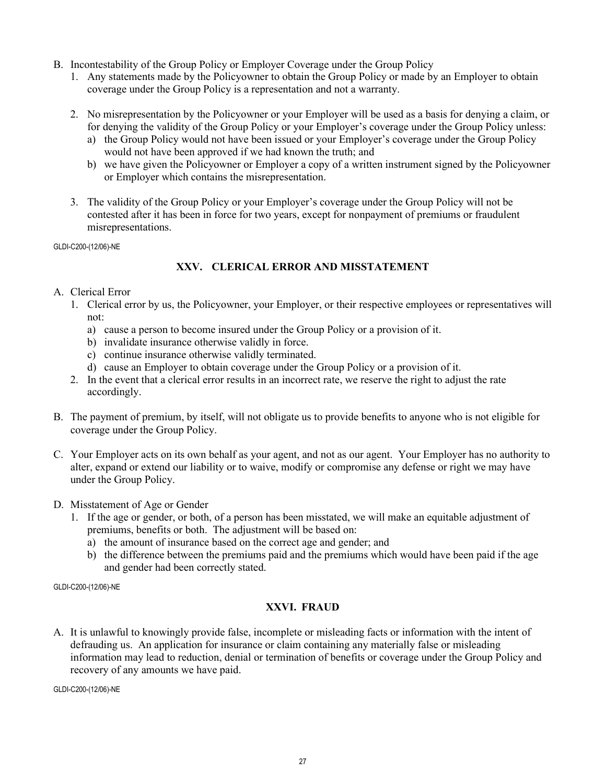- B. Incontestability of the Group Policy or Employer Coverage under the Group Policy
	- 1. Any statements made by the Policyowner to obtain the Group Policy or made by an Employer to obtain coverage under the Group Policy is a representation and not a warranty.
	- 2. No misrepresentation by the Policyowner or your Employer will be used as a basis for denying a claim, or for denying the validity of the Group Policy or your Employer's coverage under the Group Policy unless:
		- a) the Group Policy would not have been issued or your Employer's coverage under the Group Policy would not have been approved if we had known the truth; and
		- b) we have given the Policyowner or Employer a copy of a written instrument signed by the Policyowner or Employer which contains the misrepresentation.
	- 3. The validity of the Group Policy or your Employer's coverage under the Group Policy will not be contested after it has been in force for two years, except for nonpayment of premiums or fraudulent misrepresentations.

## **XXV. CLERICAL ERROR AND MISSTATEMENT**

- A. Clerical Error
	- 1. Clerical error by us, the Policyowner, your Employer, or their respective employees or representatives will not:
		- a) cause a person to become insured under the Group Policy or a provision of it.
		- b) invalidate insurance otherwise validly in force.
		- c) continue insurance otherwise validly terminated.
		- d) cause an Employer to obtain coverage under the Group Policy or a provision of it.
	- 2. In the event that a clerical error results in an incorrect rate, we reserve the right to adjust the rate accordingly.
- B. The payment of premium, by itself, will not obligate us to provide benefits to anyone who is not eligible for coverage under the Group Policy.
- C. Your Employer acts on its own behalf as your agent, and not as our agent. Your Employer has no authority to alter, expand or extend our liability or to waive, modify or compromise any defense or right we may have under the Group Policy.
- D. Misstatement of Age or Gender
	- 1. If the age or gender, or both, of a person has been misstated, we will make an equitable adjustment of premiums, benefits or both. The adjustment will be based on:
		- a) the amount of insurance based on the correct age and gender; and
		- b) the difference between the premiums paid and the premiums which would have been paid if the age and gender had been correctly stated.

GLDI-C200-(12/06)-NE

## **XXVI. FRAUD**

A. It is unlawful to knowingly provide false, incomplete or misleading facts or information with the intent of defrauding us. An application for insurance or claim containing any materially false or misleading information may lead to reduction, denial or termination of benefits or coverage under the Group Policy and recovery of any amounts we have paid.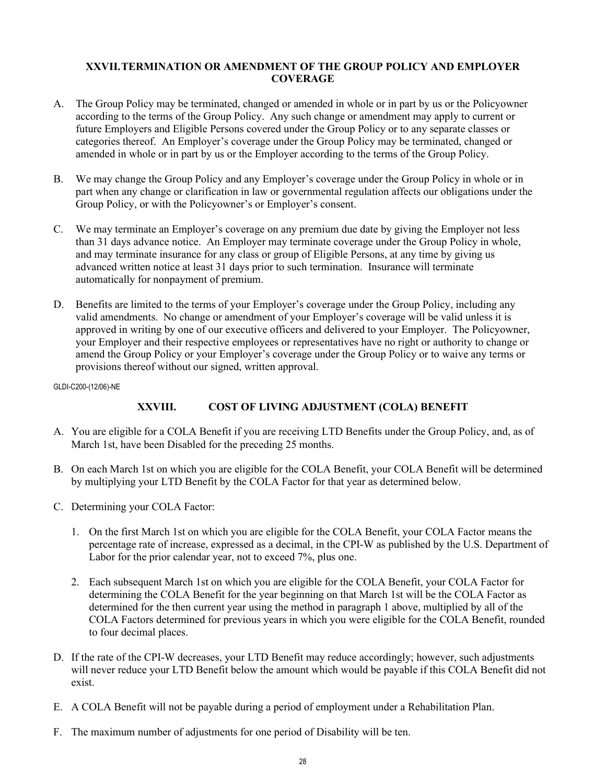#### **XXVII.TERMINATION OR AMENDMENT OF THE GROUP POLICY AND EMPLOYER COVERAGE**

- A. The Group Policy may be terminated, changed or amended in whole or in part by us or the Policyowner according to the terms of the Group Policy. Any such change or amendment may apply to current or future Employers and Eligible Persons covered under the Group Policy or to any separate classes or categories thereof. An Employer's coverage under the Group Policy may be terminated, changed or amended in whole or in part by us or the Employer according to the terms of the Group Policy.
- B. We may change the Group Policy and any Employer's coverage under the Group Policy in whole or in part when any change or clarification in law or governmental regulation affects our obligations under the Group Policy, or with the Policyowner's or Employer's consent.
- C. We may terminate an Employer's coverage on any premium due date by giving the Employer not less than 31 days advance notice. An Employer may terminate coverage under the Group Policy in whole, and may terminate insurance for any class or group of Eligible Persons, at any time by giving us advanced written notice at least 31 days prior to such termination. Insurance will terminate automatically for nonpayment of premium.
- D. Benefits are limited to the terms of your Employer's coverage under the Group Policy, including any valid amendments. No change or amendment of your Employer's coverage will be valid unless it is approved in writing by one of our executive officers and delivered to your Employer. The Policyowner, your Employer and their respective employees or representatives have no right or authority to change or amend the Group Policy or your Employer's coverage under the Group Policy or to waive any terms or provisions thereof without our signed, written approval.

GLDI-C200-(12/06)-NE

## **XXVIII. COST OF LIVING ADJUSTMENT (COLA) BENEFIT**

- A. You are eligible for a COLA Benefit if you are receiving LTD Benefits under the Group Policy, and, as of March 1st, have been Disabled for the preceding 25 months.
- B. On each March 1st on which you are eligible for the COLA Benefit, your COLA Benefit will be determined by multiplying your LTD Benefit by the COLA Factor for that year as determined below.
- C. Determining your COLA Factor:
	- 1. On the first March 1st on which you are eligible for the COLA Benefit, your COLA Factor means the percentage rate of increase, expressed as a decimal, in the CPI-W as published by the U.S. Department of Labor for the prior calendar year, not to exceed 7%, plus one.
	- 2. Each subsequent March 1st on which you are eligible for the COLA Benefit, your COLA Factor for determining the COLA Benefit for the year beginning on that March 1st will be the COLA Factor as determined for the then current year using the method in paragraph 1 above, multiplied by all of the COLA Factors determined for previous years in which you were eligible for the COLA Benefit, rounded to four decimal places.
- D. If the rate of the CPI-W decreases, your LTD Benefit may reduce accordingly; however, such adjustments will never reduce your LTD Benefit below the amount which would be payable if this COLA Benefit did not exist.
- E. A COLA Benefit will not be payable during a period of employment under a Rehabilitation Plan.
- F. The maximum number of adjustments for one period of Disability will be ten.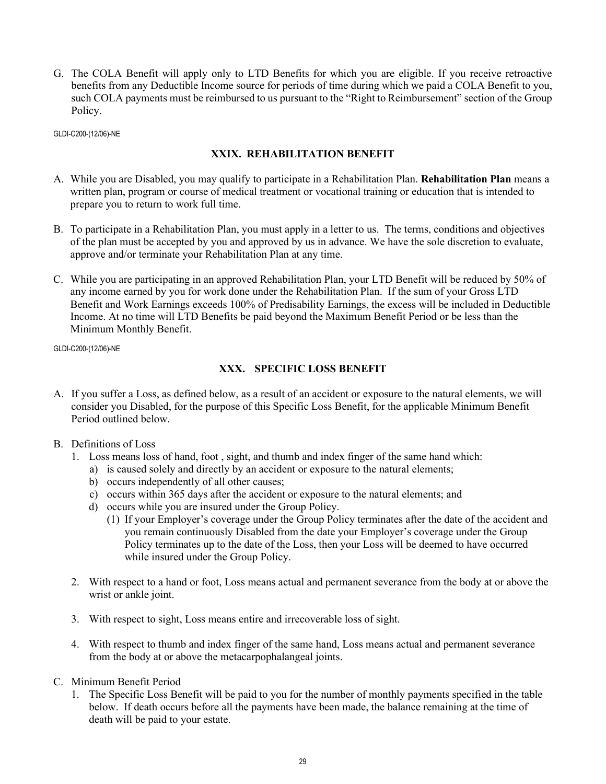G. The COLA Benefit will apply only to LTD Benefits for which you are eligible. If you receive retroactive benefits from any Deductible Income source for periods of time during which we paid a COLA Benefit to you, such COLA payments must be reimbursed to us pursuant to the "Right to Reimbursement" section of the Group Policy.

GLDI-C200-(12/06)-NE

#### **XXIX. REHABILITATION BENEFIT**

- A. While you are Disabled, you may qualify to participate in a Rehabilitation Plan. **Rehabilitation Plan** means a written plan, program or course of medical treatment or vocational training or education that is intended to prepare you to return to work full time.
- B. To participate in a Rehabilitation Plan, you must apply in a letter to us. The terms, conditions and objectives of the plan must be accepted by you and approved by us in advance. We have the sole discretion to evaluate, approve and/or terminate your Rehabilitation Plan at any time.
- C. While you are participating in an approved Rehabilitation Plan, your LTD Benefit will be reduced by 50% of any income earned by you for work done under the Rehabilitation Plan. If the sum of your Gross LTD Benefit and Work Earnings exceeds 100% of Predisability Earnings, the excess will be included in Deductible Income. At no time will LTD Benefits be paid beyond the Maximum Benefit Period or be less than the Minimum Monthly Benefit.

GLDI-C200-(12/06)-NE

#### **XXX. SPECIFIC LOSS BENEFIT**

- A. If you suffer a Loss, as defined below, as a result of an accident or exposure to the natural elements, we will consider you Disabled, for the purpose of this Specific Loss Benefit, for the applicable Minimum Benefit Period outlined below.
- B. Definitions of Loss
	- 1. Loss means loss of hand, foot , sight, and thumb and index finger of the same hand which:
		- a) is caused solely and directly by an accident or exposure to the natural elements;
		- b) occurs independently of all other causes;
		- c) occurs within 365 days after the accident or exposure to the natural elements; and
		- d) occurs while you are insured under the Group Policy.
			- (1) If your Employer's coverage under the Group Policy terminates after the date of the accident and you remain continuously Disabled from the date your Employer's coverage under the Group Policy terminates up to the date of the Loss, then your Loss will be deemed to have occurred while insured under the Group Policy.
	- 2. With respect to a hand or foot, Loss means actual and permanent severance from the body at or above the wrist or ankle joint.
	- 3. With respect to sight, Loss means entire and irrecoverable loss of sight.
	- 4. With respect to thumb and index finger of the same hand, Loss means actual and permanent severance from the body at or above the metacarpophalangeal joints.
- C. Minimum Benefit Period
	- 1. The Specific Loss Benefit will be paid to you for the number of monthly payments specified in the table below. If death occurs before all the payments have been made, the balance remaining at the time of death will be paid to your estate.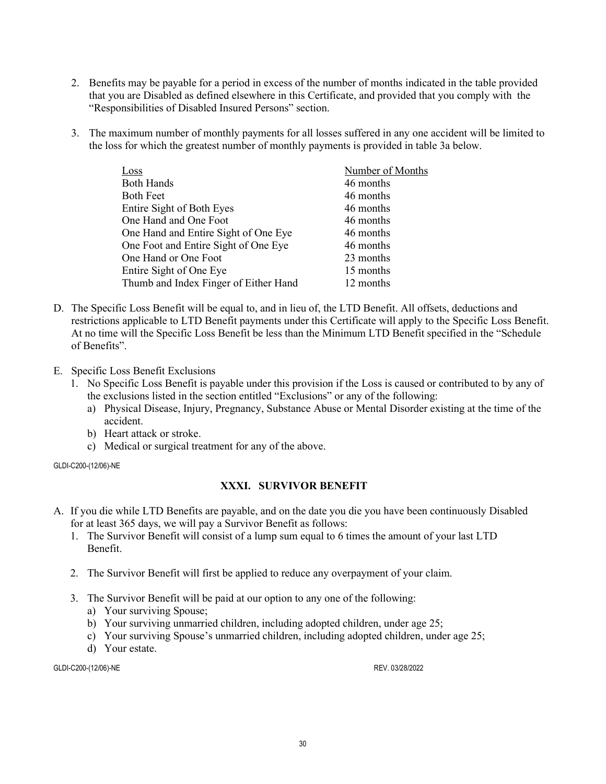- 2. Benefits may be payable for a period in excess of the number of months indicated in the table provided that you are Disabled as defined elsewhere in this Certificate, and provided that you comply with the "Responsibilities of Disabled Insured Persons" section.
- 3. The maximum number of monthly payments for all losses suffered in any one accident will be limited to the loss for which the greatest number of monthly payments is provided in table 3a below.

| $\cos s$                              | Number of Months |
|---------------------------------------|------------------|
| <b>Both Hands</b>                     | 46 months        |
| <b>Both Feet</b>                      | 46 months        |
| Entire Sight of Both Eyes             | 46 months        |
| One Hand and One Foot                 | 46 months        |
| One Hand and Entire Sight of One Eye  | 46 months        |
| One Foot and Entire Sight of One Eye  | 46 months        |
| One Hand or One Foot                  | 23 months        |
| Entire Sight of One Eye               | 15 months        |
| Thumb and Index Finger of Either Hand | 12 months        |

- D. The Specific Loss Benefit will be equal to, and in lieu of, the LTD Benefit. All offsets, deductions and restrictions applicable to LTD Benefit payments under this Certificate will apply to the Specific Loss Benefit. At no time will the Specific Loss Benefit be less than the Minimum LTD Benefit specified in the "Schedule of Benefits".
- E. Specific Loss Benefit Exclusions
	- 1. No Specific Loss Benefit is payable under this provision if the Loss is caused or contributed to by any of the exclusions listed in the section entitled "Exclusions" or any of the following:
		- a) Physical Disease, Injury, Pregnancy, Substance Abuse or Mental Disorder existing at the time of the accident.
		- b) Heart attack or stroke.
		- c) Medical or surgical treatment for any of the above.

#### **XXXI. SURVIVOR BENEFIT**

- A. If you die while LTD Benefits are payable, and on the date you die you have been continuously Disabled for at least 365 days, we will pay a Survivor Benefit as follows:
	- 1. The Survivor Benefit will consist of a lump sum equal to 6 times the amount of your last LTD Benefit.
	- 2. The Survivor Benefit will first be applied to reduce any overpayment of your claim.
	- 3. The Survivor Benefit will be paid at our option to any one of the following:
		- a) Your surviving Spouse;
		- b) Your surviving unmarried children, including adopted children, under age 25;
		- c) Your surviving Spouse's unmarried children, including adopted children, under age 25;
		- d) Your estate.

GLDI-C200-(12/06)-NE REV. 03/28/2022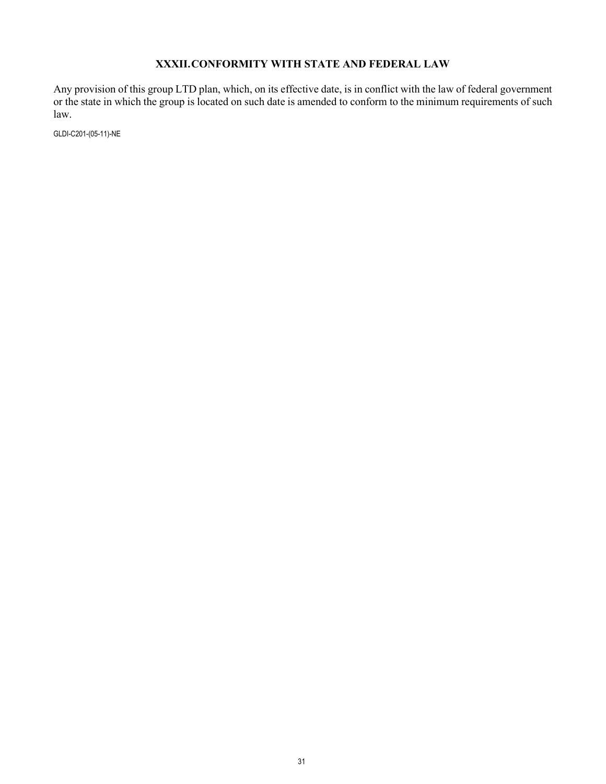### **XXXII.CONFORMITY WITH STATE AND FEDERAL LAW**

Any provision of this group LTD plan, which, on its effective date, is in conflict with the law of federal government or the state in which the group is located on such date is amended to conform to the minimum requirements of such law.

GLDI-C201-(05-11)-NE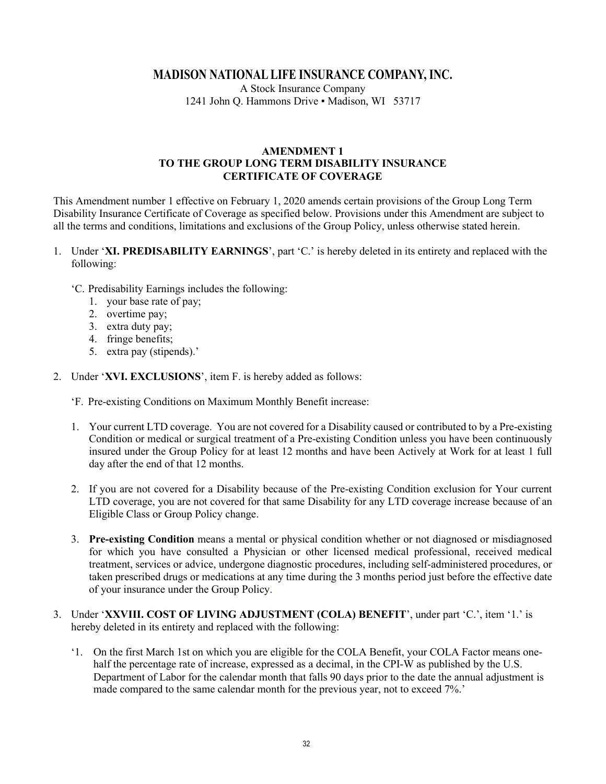## **MADISON NATIONAL LIFE INSURANCE COMPANY, INC.**

A Stock Insurance Company 1241 John Q. Hammons Drive . Madison, WI 53717

#### **AMENDMENT 1 TO THE GROUP LONG TERM DISABILITY INSURANCE CERTIFICATE OF COVERAGE**

This Amendment number 1 effective on February 1, 2020 amends certain provisions of the Group Long Term Disability Insurance Certificate of Coverage as specified below. Provisions under this Amendment are subject to all the terms and conditions, limitations and exclusions of the Group Policy, unless otherwise stated herein.

- 1. Under '**XI. PREDISABILITY EARNINGS**', part 'C.' is hereby deleted in its entirety and replaced with the following:
	- 'C. Predisability Earnings includes the following:
		- 1. your base rate of pay;
		- 2. overtime pay;
		- 3. extra duty pay;
		- 4. fringe benefits;
		- 5. extra pay (stipends).'
- 2. Under '**XVI. EXCLUSIONS**', item F. is hereby added as follows:
	- 'F. Pre-existing Conditions on Maximum Monthly Benefit increase:
	- 1. Your current LTD coverage. You are not covered for a Disability caused or contributed to by a Pre-existing Condition or medical or surgical treatment of a Pre-existing Condition unless you have been continuously insured under the Group Policy for at least 12 months and have been Actively at Work for at least 1 full day after the end of that 12 months.
	- 2. If you are not covered for a Disability because of the Pre-existing Condition exclusion for Your current LTD coverage, you are not covered for that same Disability for any LTD coverage increase because of an Eligible Class or Group Policy change.
	- 3. **Pre-existing Condition** means a mental or physical condition whether or not diagnosed or misdiagnosed for which you have consulted a Physician or other licensed medical professional, received medical treatment, services or advice, undergone diagnostic procedures, including self-administered procedures, or taken prescribed drugs or medications at any time during the 3 months period just before the effective date of your insurance under the Group Policy.
- 3. Under '**XXVIII. COST OF LIVING ADJUSTMENT (COLA) BENEFIT**', under part 'C.', item '1.' is hereby deleted in its entirety and replaced with the following:
	- '1. On the first March 1st on which you are eligible for the COLA Benefit, your COLA Factor means onehalf the percentage rate of increase, expressed as a decimal, in the CPI-W as published by the U.S. Department of Labor for the calendar month that falls 90 days prior to the date the annual adjustment is made compared to the same calendar month for the previous year, not to exceed 7%.'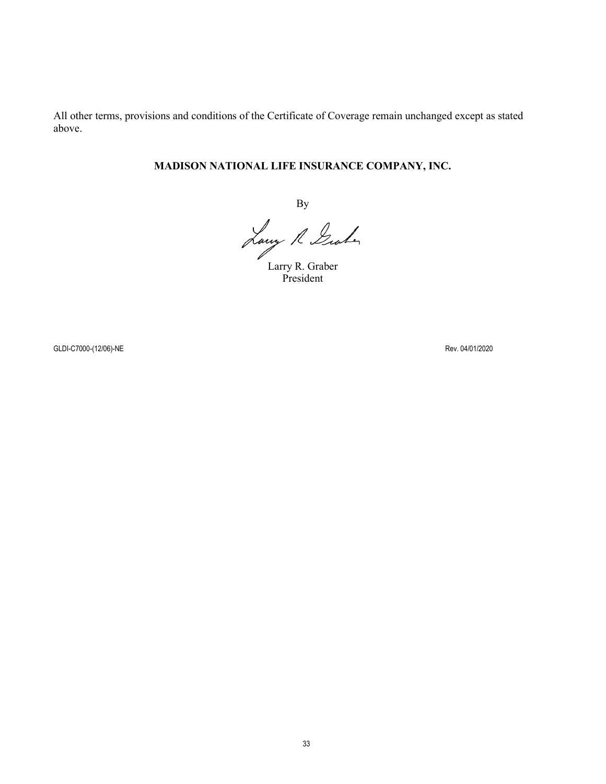All other terms, provisions and conditions of the Certificate of Coverage remain unchanged except as stated above.

## **MADISON NATIONAL LIFE INSURANCE COMPANY, INC.**

By

Larry R. Graber

President

GLDI-C7000-(12/06)-NE Rev. 04/01/2020